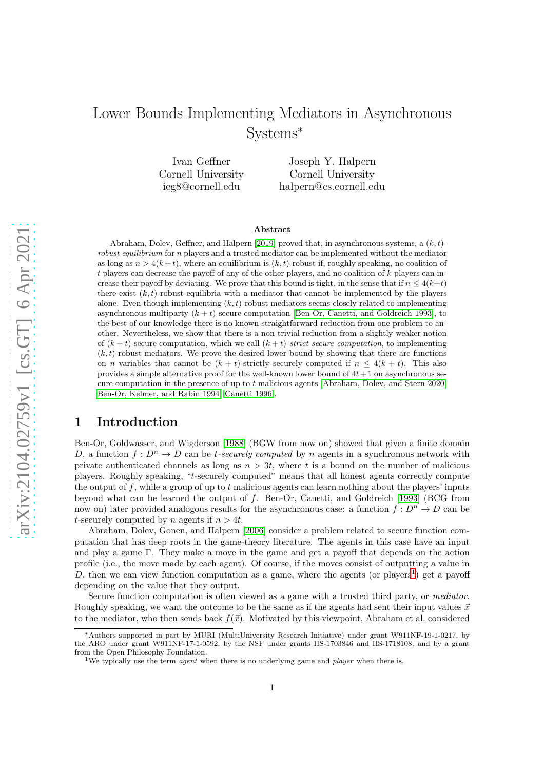# Lower Bounds Implementing Mediators in Asynchronous Systems<sup>∗</sup>

Ivan Geffner Cornell University ieg8@cornell.edu

Joseph Y. Halpern Cornell University halpern@cs.cornell.edu

#### Abstract

Abraham, Dolev, Geffner, and Halpern [\[2019\]](#page-18-0) proved that, in asynchronous systems, a  $(k, t)$ robust equilibrium for  $n$  players and a trusted mediator can be implemented without the mediator as long as  $n > 4(k+t)$ , where an equilibrium is  $(k, t)$ -robust if, roughly speaking, no coalition of  $t$  players can decrease the payoff of any of the other players, and no coalition of  $k$  players can increase their payoff by deviating. We prove that this bound is tight, in the sense that if  $n \leq 4(k+t)$ there exist  $(k, t)$ -robust equilibria with a mediator that cannot be implemented by the players alone. Even though implementing  $(k, t)$ -robust mediators seems closely related to implementing asynchronous multiparty  $(k + t)$ -secure computation [\[Ben-Or, Canetti, and Goldreich 1993\]](#page-18-1), to the best of our knowledge there is no known straightforward reduction from one problem to another. Nevertheless, we show that there is a non-trivial reduction from a slightly weaker notion of  $(k + t)$ -secure computation, which we call  $(k + t)$ -strict secure computation, to implementing  $(k, t)$ -robust mediators. We prove the desired lower bound by showing that there are functions on *n* variables that cannot be  $(k + t)$ -strictly securely computed if  $n \leq 4(k + t)$ . This also provides a simple alternative proof for the well-known lower bound of  $4t+1$  on asynchronous secure computation in the presence of up to  $t$  malicious agents [Abraham, Doley, and Stern 2020; [Ben-Or, Kelmer, and Rabin 1994;](#page-18-3) [Canetti 1996\]](#page-19-0).

# 1 Introduction

Ben-Or, Goldwasser, and Wigderson [\[1988\]](#page-18-4) (BGW from now on) showed that given a finite domain D, a function  $f: D^n \to D$  can be t-securely computed by n agents in a synchronous network with private authenticated channels as long as  $n > 3t$ , where t is a bound on the number of malicious players. Roughly speaking, "t-securely computed" means that all honest agents correctly compute the output of f, while a group of up to t malicious agents can learn nothing about the players' inputs beyond what can be learned the output of f. Ben-Or, Canetti, and Goldreich [\[1993\]](#page-18-1) (BCG from now on) later provided analogous results for the asynchronous case: a function  $f: D^n \to D$  can be t-securely computed by n agents if  $n > 4t$ .

Abraham, Dolev, Gonen, and Halpern [\[2006\]](#page-18-5) consider a problem related to secure function computation that has deep roots in the game-theory literature. The agents in this case have an input and play a game Γ. They make a move in the game and get a payoff that depends on the action profile (i.e., the move made by each agent). Of course, if the moves consist of outputting a value in D, then we can view function computation as a game, where the agents (or players<sup>[1](#page-0-0)</sup>) get a payoff depending on the value that they output.

Secure function computation is often viewed as a game with a trusted third party, or mediator. Roughly speaking, we want the outcome to be the same as if the agents had sent their input values  $\vec{x}$ to the mediator, who then sends back  $f(\vec{x})$ . Motivated by this viewpoint, Abraham et al. considered

<sup>∗</sup>Authors supported in part by MURI (MultiUniversity Research Initiative) under grant W911NF-19-1-0217, by the ARO under grant W911NF-17-1-0592, by the NSF under grants IIS-1703846 and IIS-1718108, and by a grant from the Open Philosophy Foundation.

<span id="page-0-0"></span><sup>&</sup>lt;sup>1</sup>We typically use the term *agent* when there is no underlying game and *player* when there is.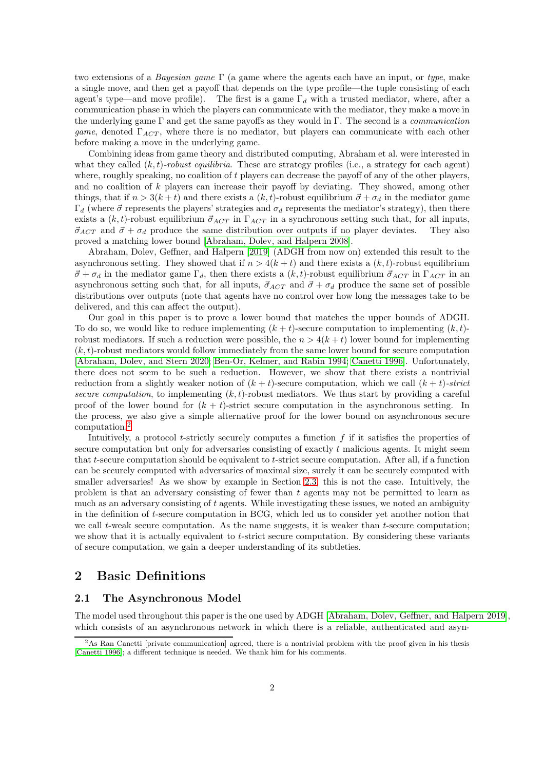two extensions of a *Bayesian game*  $\Gamma$  (a game where the agents each have an input, or type, make a single move, and then get a payoff that depends on the type profile—the tuple consisting of each agent's type—and move profile). The first is a game  $\Gamma_d$  with a trusted mediator, where, after a communication phase in which the players can communicate with the mediator, they make a move in the underlying game  $\Gamma$  and get the same payoffs as they would in  $\Gamma$ . The second is a *communication* game, denoted  $\Gamma_{ACT}$ , where there is no mediator, but players can communicate with each other before making a move in the underlying game.

Combining ideas from game theory and distributed computing, Abraham et al. were interested in what they called  $(k, t)$ -robust equilibria. These are strategy profiles (i.e., a strategy for each agent) where, roughly speaking, no coalition of  $t$  players can decrease the payoff of any of the other players, and no coalition of k players can increase their payoff by deviating. They showed, among other things, that if  $n > 3(k+t)$  and there exists a  $(k, t)$ -robust equilibrium  $\vec{\sigma} + \sigma_d$  in the mediator game  $\Gamma_d$  (where  $\vec{\sigma}$  represents the players' strategies and  $\sigma_d$  represents the mediator's strategy), then there exists a  $(k, t)$ -robust equilibrium  $\vec{\sigma}_{ACT}$  in  $\Gamma_{ACT}$  in a synchronous setting such that, for all inputs,  $\vec{\sigma}_{ACT}$  and  $\vec{\sigma} + \sigma_d$  produce the same distribution over outputs if no player deviates. They also proved a matching lower bound [\[Abraham, Dolev, and Halpern 2008\]](#page-18-6).

Abraham, Dolev, Geffner, and Halpern [\[2019\]](#page-18-0) (ADGH from now on) extended this result to the asynchronous setting. They showed that if  $n > 4(k + t)$  and there exists a  $(k, t)$ -robust equilibrium  $\vec{\sigma} + \sigma_d$  in the mediator game  $\Gamma_d$ , then there exists a  $(k, t)$ -robust equilibrium  $\vec{\sigma}_{ACT}$  in  $\Gamma_{ACT}$  in an asynchronous setting such that, for all inputs,  $\vec{\sigma}_{ACT}$  and  $\vec{\sigma} + \sigma_d$  produce the same set of possible distributions over outputs (note that agents have no control over how long the messages take to be delivered, and this can affect the output).

Our goal in this paper is to prove a lower bound that matches the upper bounds of ADGH. To do so, we would like to reduce implementing  $(k + t)$ -secure computation to implementing  $(k, t)$ robust mediators. If such a reduction were possible, the  $n > 4(k + t)$  lower bound for implementing  $(k, t)$ -robust mediators would follow immediately from the same lower bound for secure computation [\[Abraham, Dolev, and Stern 2020;](#page-18-2) [Ben-Or, Kelmer, and Rabin 1994;](#page-18-3) [Canetti 1996\]](#page-19-0). Unfortunately, there does not seem to be such a reduction. However, we show that there exists a nontrivial reduction from a slightly weaker notion of  $(k + t)$ -secure computation, which we call  $(k + t)$ -strict secure computation, to implementing  $(k, t)$ -robust mediators. We thus start by providing a careful proof of the lower bound for  $(k + t)$ -strict secure computation in the asynchronous setting. In the process, we also give a simple alternative proof for the lower bound on asynchronous secure computation.[2](#page-1-0)

Intuitively, a protocol  $t$ -strictly securely computes a function  $f$  if it satisfies the properties of secure computation but only for adversaries consisting of exactly t malicious agents. It might seem that t-secure computation should be equivalent to t-strict secure computation. After all, if a function can be securely computed with adversaries of maximal size, surely it can be securely computed with smaller adversaries! As we show by example in Section [2.3,](#page-4-0) this is not the case. Intuitively, the problem is that an adversary consisting of fewer than t agents may not be permitted to learn as much as an adversary consisting of t agents. While investigating these issues, we noted an ambiguity in the definition of t-secure computation in BCG, which led us to consider yet another notion that we call  $t$ -weak secure computation. As the name suggests, it is weaker than  $t$ -secure computation; we show that it is actually equivalent to t-strict secure computation. By considering these variants of secure computation, we gain a deeper understanding of its subtleties.

# 2 Basic Definitions

## 2.1 The Asynchronous Model

The model used throughout this paper is the one used by ADGH [\[Abraham, Dolev, Geffner, and Halpern 2019\]](#page-18-0), which consists of an asynchronous network in which there is a reliable, authenticated and asyn-

<span id="page-1-0"></span><sup>2</sup>As Ran Canetti [private communication] agreed, there is a nontrivial problem with the proof given in his thesis [\[Canetti 1996\]](#page-19-0); a different technique is needed. We thank him for his comments.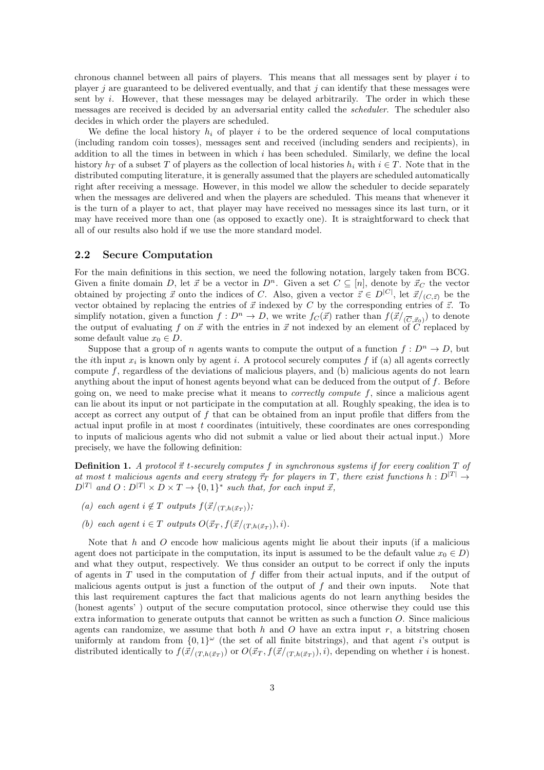chronous channel between all pairs of players. This means that all messages sent by player  $i$  to player j are guaranteed to be delivered eventually, and that j can identify that these messages were sent by i. However, that these messages may be delayed arbitrarily. The order in which these messages are received is decided by an adversarial entity called the scheduler. The scheduler also decides in which order the players are scheduled.

We define the local history  $h_i$  of player i to be the ordered sequence of local computations (including random coin tosses), messages sent and received (including senders and recipients), in addition to all the times in between in which  $i$  has been scheduled. Similarly, we define the local history  $h_T$  of a subset T of players as the collection of local histories  $h_i$  with  $i \in T$ . Note that in the distributed computing literature, it is generally assumed that the players are scheduled automatically right after receiving a message. However, in this model we allow the scheduler to decide separately when the messages are delivered and when the players are scheduled. This means that whenever it is the turn of a player to act, that player may have received no messages since its last turn, or it may have received more than one (as opposed to exactly one). It is straightforward to check that all of our results also hold if we use the more standard model.

## 2.2 Secure Computation

For the main definitions in this section, we need the following notation, largely taken from BCG. Given a finite domain D, let  $\vec{x}$  be a vector in  $D^n$ . Given a set  $C \subseteq [n]$ , denote by  $\vec{x}_C$  the vector obtained by projecting  $\vec{x}$  onto the indices of C. Also, given a vector  $\vec{z} \in D^{|C|}$ , let  $\vec{x}/(C,\vec{z})$  be the vector obtained by replacing the entries of  $\vec{x}$  indexed by C by the corresponding entries of  $\vec{z}$ . To simplify notation, given a function  $f: D^n \to D$ , we write  $f_C(\vec{x})$  rather than  $f(\vec{x}/_{(\overline{C}, \vec{x}_0)})$  to denote the output of evaluating f on  $\vec{x}$  with the entries in  $\vec{x}$  not indexed by an element of  $\vec{C}$  replaced by some default value  $x_0 \in D$ .

Suppose that a group of n agents wants to compute the output of a function  $f: D^n \to D$ , but the *i*th input  $x_i$  is known only by agent *i*. A protocol securely computes f if (a) all agents correctly compute  $f$ , regardless of the deviations of malicious players, and (b) malicious agents do not learn anything about the input of honest agents beyond what can be deduced from the output of f. Before going on, we need to make precise what it means to *correctly compute*  $f$ , since a malicious agent can lie about its input or not participate in the computation at all. Roughly speaking, the idea is to accept as correct any output of  $f$  that can be obtained from an input profile that differs from the actual input profile in at most  $t$  coordinates (intuitively, these coordinates are ones corresponding to inputs of malicious agents who did not submit a value or lied about their actual input.) More precisely, we have the following definition:

**Definition 1.** A protocol  $\vec{\pi}$  t-securely computes f in synchronous systems if for every coalition T of at most t malicious agents and every strategy  $\vec{\tau}_T$  for players in T, there exist functions  $h: D^{|T|} \rightarrow$  $D^{|T|}$  and  $O: D^{|T|} \times D \times T \rightarrow \{0,1\}^*$  such that, for each input  $\vec{x}$ ,

- (a) each agent  $i \notin T$  outputs  $f(\vec{x}/(T_h(\vec{x}_T)))$ ;
- (b) each agent  $i \in T$  outputs  $O(\vec{x}_T, f(\vec{x}/(T,h(\vec{x}_T)), i)).$

Note that  $h$  and  $O$  encode how malicious agents might lie about their inputs (if a malicious agent does not participate in the computation, its input is assumed to be the default value  $x_0 \in D$ ) and what they output, respectively. We thus consider an output to be correct if only the inputs of agents in  $T$  used in the computation of  $f$  differ from their actual inputs, and if the output of malicious agents output is just a function of the output of  $f$  and their own inputs. Note that this last requirement captures the fact that malicious agents do not learn anything besides the (honest agents' ) output of the secure computation protocol, since otherwise they could use this extra information to generate outputs that cannot be written as such a function O. Since malicious agents can randomize, we assume that both  $h$  and  $O$  have an extra input  $r$ , a bitstring chosen uniformly at random from  $\{0,1\}^\omega$  (the set of all finite bitstrings), and that agent *i*'s output is distributed identically to  $f(\vec{x}/(T,h(\vec{x}_T))$  or  $O(\vec{x}_T, f(\vec{x}/(T,h(\vec{x}_T)), i)$ , depending on whether i is honest.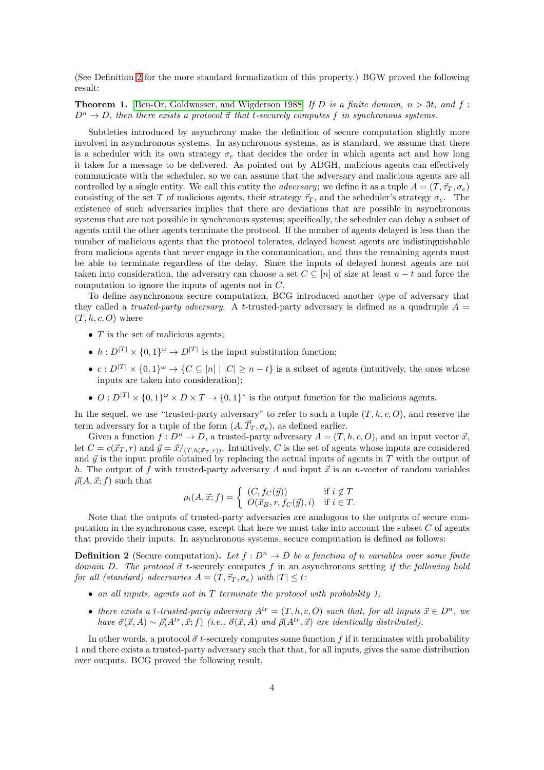(See Definition [2](#page-3-0) for the more standard formalization of this property.) BGW proved the following result:

**Theorem 1.** [\[Ben-Or, Goldwasser, and Wigderson 1988\]](#page-18-4) If D is a finite domain,  $n > 3t$ , and f:  $D^n \to D$ , then there exists a protocol  $\vec{\pi}$  that t-securely computes f in synchronous systems.

Subtleties introduced by asynchrony make the definition of secure computation slightly more involved in asynchronous systems. In asynchronous systems, as is standard, we assume that there is a scheduler with its own strategy  $\sigma_e$  that decides the order in which agents act and how long it takes for a message to be delivered. As pointed out by ADGH, malicious agents can effectively communicate with the scheduler, so we can assume that the adversary and malicious agents are all controlled by a single entity. We call this entity the *adversary*; we define it as a tuple  $A = (T, \vec{\tau}_T, \sigma_e)$ consisting of the set T of malicious agents, their strategy  $\vec{\tau}_T$ , and the scheduler's strategy  $\sigma_e$ . The existence of such adversaries implies that there are deviations that are possible in asynchronous systems that are not possible in synchronous systems; specifically, the scheduler can delay a subset of agents until the other agents terminate the protocol. If the number of agents delayed is less than the number of malicious agents that the protocol tolerates, delayed honest agents are indistinguishable from malicious agents that never engage in the communication, and thus the remaining agents must be able to terminate regardless of the delay. Since the inputs of delayed honest agents are not taken into consideration, the adversary can choose a set  $C \subseteq [n]$  of size at least  $n - t$  and force the computation to ignore the inputs of agents not in C.

To define asynchronous secure computation, BCG introduced another type of adversary that they called a *trusted-party adversary*. A *t*-trusted-party adversary is defined as a quadruple  $A =$  $(T, h, c, O)$  where

- $T$  is the set of malicious agents;
- $h: D^{|T|} \times \{0,1\}^{\omega} \to D^{|T|}$  is the input substitution function;
- $c: D^{|T|} \times \{0,1\}^\omega \to \{C \subseteq [n] \mid |C| \geq n-t\}$  is a subset of agents (intuitively, the ones whose inputs are taken into consideration);
- $O: D^{|T|} \times \{0,1\}^\omega \times D \times T \to \{0,1\}^*$  is the output function for the malicious agents.

In the sequel, we use "trusted-party adversary" to refer to such a tuple  $(T, h, c, O)$ , and reserve the term adversary for a tuple of the form  $(A, \vec{T}_T, \sigma_e)$ , as defined earlier.

Given a function  $f: D^n \to D$ , a trusted-party adversary  $A = (T, h, c, O)$ , and an input vector  $\vec{x}$ , let  $C = c(\vec{x}_T, r)$  and  $\vec{y} = \vec{x}/(T, h(\vec{x}_T, r))$ . Intuitively, C is the set of agents whose inputs are considered and  $\vec{y}$  is the input profile obtained by replacing the actual inputs of agents in T with the output of h. The output of f with trusted-party adversary A and input  $\vec{x}$  is an n-vector of random variables  $\vec{\rho}(A, \vec{x}; f)$  such that

$$
\rho_i(A, \vec{x}; f) = \begin{cases} (C, f_C(\vec{y})) & \text{if } i \notin T \\ O(\vec{x}_B, r, f_C(\vec{y}), i) & \text{if } i \in T. \end{cases}
$$

Note that the outputs of trusted-party adversaries are analogous to the outputs of secure computation in the synchronous case, except that here we must take into account the subset  $C$  of agents that provide their inputs. In asynchronous systems, secure computation is defined as follows:

<span id="page-3-0"></span>**Definition 2** (Secure computation). Let  $f: D^n \to D$  be a function of n variables over some finite domain D. The protocol  $\vec{\sigma}$  t-securely computes f in an asynchronous setting if the following hold for all (standard) adversaries  $A = (T, \vec{\tau}_T, \sigma_e)$  with  $|T| \leq t$ :

- on all inputs, agents not in  $T$  terminate the protocol with probability 1;
- there exists a t-trusted-party adversary  $A^{tr} = (T, h, c, O)$  such that, for all inputs  $\vec{x} \in D^n$ , we have  $\vec{\sigma}(\vec{x}, A) \sim \vec{\rho}(A^{tr}, \vec{x}; f)$  (i.e.,  $\vec{\sigma}(\vec{x}, A)$  and  $\vec{\rho}(A^{tr}, \vec{x})$  are identically distributed).

In other words, a protocol  $\vec{\sigma}$  t-securely computes some function f if it terminates with probability 1 and there exists a trusted-party adversary such that that, for all inputs, gives the same distribution over outputs. BCG proved the following result.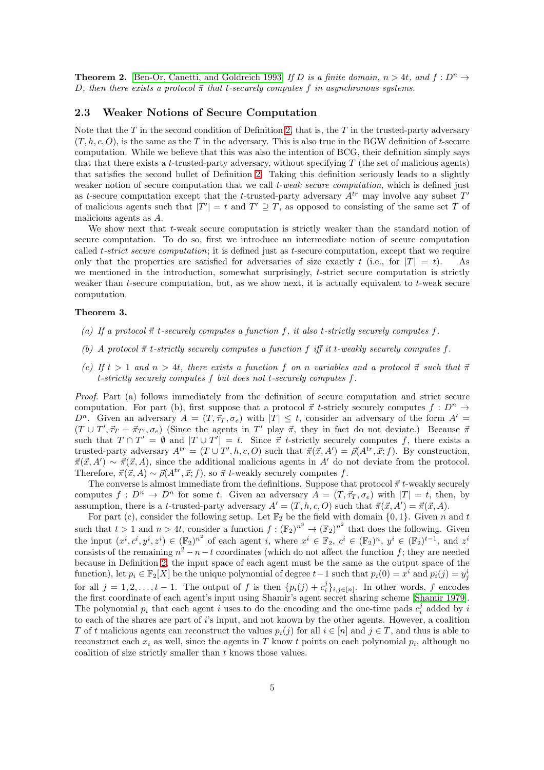<span id="page-4-1"></span>**Theorem 2.** [\[Ben-Or, Canetti, and Goldreich 1993\]](#page-18-1) If D is a finite domain,  $n > 4t$ , and  $f : D<sup>n</sup> \rightarrow$ D, then there exists a protocol  $\vec{\pi}$  that t-securely computes f in asynchronous systems.

### <span id="page-4-0"></span>2.3 Weaker Notions of Secure Computation

Note that the  $T$  in the second condition of Definition [2,](#page-3-0) that is, the  $T$  in the trusted-party adversary  $(T, h, c, O)$ , is the same as the T in the adversary. This is also true in the BGW definition of t-secure computation. While we believe that this was also the intention of BCG, their definition simply says that that there exists a t-trusted-party adversary, without specifying  $T$  (the set of malicious agents) that satisfies the second bullet of Definition [2.](#page-3-0) Taking this definition seriously leads to a slightly weaker notion of secure computation that we call *t-weak secure computation*, which is defined just as t-secure computation except that the t-trusted-party adversary  $A^{tr}$  may involve any subset  $T'$ of malicious agents such that  $|T'| = t$  and  $T' \supseteq T$ , as opposed to consisting of the same set T of malicious agents as A.

We show next that t-weak secure computation is strictly weaker than the standard notion of secure computation. To do so, first we introduce an intermediate notion of secure computation called *t-strict secure computation*; it is defined just as *t*-secure computation, except that we require only that the properties are satisfied for adversaries of size exactly t (i.e., for  $|T| = t$ ). As we mentioned in the introduction, somewhat surprisingly, t-strict secure computation is strictly weaker than  $t$ -secure computation, but, as we show next, it is actually equivalent to  $t$ -weak secure computation.

#### Theorem 3.

- (a) If a protocol  $\vec{\pi}$  t-securely computes a function f, it also t-strictly securely computes f.
- (b) A protocol  $\vec{\pi}$  t-strictly securely computes a function f iff it t-weakly securely computes f.
- (c) If  $t > 1$  and  $n > 4t$ , there exists a function f on n variables and a protocol  $\vec{\pi}$  such that  $\vec{\pi}$ t-strictly securely computes f but does not t-securely computes f.

Proof. Part (a) follows immediately from the definition of secure computation and strict secure computation. For part (b), first suppose that a protocol  $\vec{\pi}$  t-stricly securely computes  $f : D^n \to$  $D^n$ . Given an adversary  $A = (T, \vec{\tau}_T, \sigma_e)$  with  $|T| \leq t$ , consider an adversary of the form  $A' =$  $(T \cup T', \vec{\tau}_T + \vec{\pi}_{T'}, \sigma_e)$  (Since the agents in T' play  $\vec{\pi}$ , they in fact do not deviate.) Because  $\vec{\pi}$ such that  $T \cap T' = \emptyset$  and  $|T \cup T'| = t$ . Since  $\vec{\pi}$  t-strictly securely computes f, there exists a trusted-party adversary  $A^{tr} = (T \cup T', h, c, O)$  such that  $\vec{\pi}(\vec{x}, A') = \vec{\rho}(A^{tr}, \vec{x}; f)$ . By construction,  $\vec{\pi}(\vec{x}, A') \sim \vec{\pi}(\vec{x}, A)$ , since the additional malicious agents in A' do not deviate from the protocol. Therefore,  $\vec{\pi}(\vec{x}, A) \sim \vec{\rho}(A^{tr}, \vec{x}; f)$ , so  $\vec{\pi}$  t-weakly securely computes f.

The converse is almost immediate from the definitions. Suppose that protocol  $\vec{\pi}$  t-weakly securely computes  $f: D^n \to D^n$  for some t. Given an adversary  $A = (T, \vec{\tau}_T, \sigma_e)$  with  $|T| = t$ , then, by assumption, there is a t-trusted-party adversary  $A' = (T, h, c, O)$  such that  $\vec{\pi}(\vec{x}, A') = \vec{\pi}(\vec{x}, A)$ .

For part (c), consider the following setup. Let  $\mathbb{F}_2$  be the field with domain  $\{0, 1\}$ . Given n and t such that  $t > 1$  and  $n > 4t$ , consider a function  $f: (\mathbb{F}_2)^{n^3} \to (\mathbb{F}_2)^{n^2}$  that does the following. Given the input  $(x^i, c^i, y^i, z^i) \in (\mathbb{F}_2)^{n^2}$  of each agent i, where  $x^i \in \mathbb{F}_2$ ,  $c^i \in (\mathbb{F}_2)^n$ ,  $y^i \in (\mathbb{F}_2)^{t-1}$ , and  $z^i$ consists of the remaining  $n^2 - n - t$  coordinates (which do not affect the function f; they are needed because in Definition [2,](#page-3-0) the input space of each agent must be the same as the output space of the function), let  $p_i \in \mathbb{F}_2[X]$  be the unique polynomial of degree  $t-1$  such that  $p_i(0) = x^i$  and  $p_i(j) = y^i_j$ for all  $j = 1, 2, \ldots, t - 1$ . The output of f is then  $\{p_i(j) + c_i^j\}_{i,j \in [n]}$ . In other words, f encodes the first coordinate of each agent's input using Shamir's agent secret sharing scheme [\[Shamir 1979\]](#page-19-1). The polynomial  $p_i$  that each agent i uses to do the encoding and the one-time pads  $c_i^j$  added by i to each of the shares are part of i's input, and not known by the other agents. However, a coalition T of t malicious agents can reconstruct the values  $p_i(j)$  for all  $i \in [n]$  and  $j \in T$ , and thus is able to reconstruct each  $x_i$  as well, since the agents in T know t points on each polynomial  $p_i$ , although no coalition of size strictly smaller than  $t$  knows those values.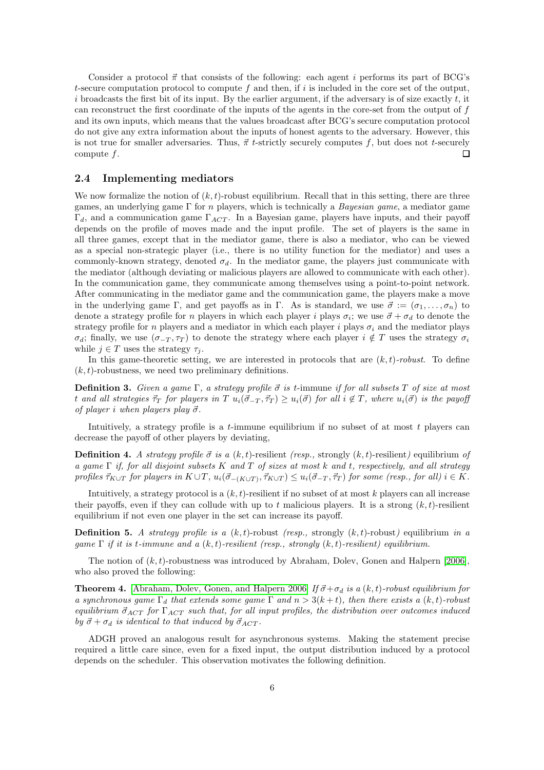Consider a protocol  $\vec{\pi}$  that consists of the following: each agent i performs its part of BCG's t-secure computation protocol to compute f and then, if i is included in the core set of the output, i broadcasts the first bit of its input. By the earlier argument, if the adversary is of size exactly  $t$ , it can reconstruct the first coordinate of the inputs of the agents in the core-set from the output of f and its own inputs, which means that the values broadcast after BCG's secure computation protocol do not give any extra information about the inputs of honest agents to the adversary. However, this is not true for smaller adversaries. Thus,  $\vec{\pi}$  t-strictly securely computes f, but does not t-securely compute  $f$ . П

## 2.4 Implementing mediators

We now formalize the notion of  $(k, t)$ -robust equilibrium. Recall that in this setting, there are three games, an underlying game  $\Gamma$  for *n* players, which is technically a *Bayesian game*, a mediator game  $\Gamma_d$ , and a communication game  $\Gamma_{ACT}$ . In a Bayesian game, players have inputs, and their payoff depends on the profile of moves made and the input profile. The set of players is the same in all three games, except that in the mediator game, there is also a mediator, who can be viewed as a special non-strategic player (i.e., there is no utility function for the mediator) and uses a commonly-known strategy, denoted  $\sigma_d$ . In the mediator game, the players just communicate with the mediator (although deviating or malicious players are allowed to communicate with each other). In the communication game, they communicate among themselves using a point-to-point network. After communicating in the mediator game and the communication game, the players make a move in the underlying game Γ, and get payoffs as in Γ. As is standard, we use  $\vec{\sigma} := (\sigma_1, \ldots, \sigma_n)$  to denote a strategy profile for n players in which each player i plays  $\sigma_i$ ; we use  $\vec{\sigma} + \sigma_d$  to denote the strategy profile for n players and a mediator in which each player i plays  $\sigma_i$  and the mediator plays  $\sigma_d$ ; finally, we use  $(\sigma_{-T}, \tau_T)$  to denote the strategy where each player  $i \notin T$  uses the strategy  $\sigma_i$ while  $j \in T$  uses the strategy  $\tau_i$ .

In this game-theoretic setting, we are interested in protocols that are  $(k, t)$ -robust. To define  $(k, t)$ -robustness, we need two preliminary definitions.

**Definition 3.** Given a game  $\Gamma$ , a strategy profile  $\vec{\sigma}$  is t-immune if for all subsets T of size at most t and all strategies  $\vec{\tau}_T$  for players in  $T u_i(\vec{\sigma}_-T, \vec{\tau}_T) \geq u_i(\vec{\sigma})$  for all  $i \notin T$ , where  $u_i(\vec{\sigma})$  is the payoff of player i when players play  $\vec{\sigma}$ .

Intuitively, a strategy profile is a t-immune equilibrium if no subset of at most  $t$  players can decrease the payoff of other players by deviating,

**Definition 4.** A strategy profile  $\vec{\sigma}$  is a  $(k, t)$ -resilient (resp., strongly  $(k, t)$ -resilient) equilibrium of a game  $\Gamma$  if, for all disjoint subsets K and T of sizes at most k and t, respectively, and all strategy profiles  $\vec{\tau}_{K\cup T}$  for players in  $K\cup T$ ,  $u_i(\vec{\sigma}_{-(K\cup T)}, \vec{\tau}_{K\cup T}) \leq u_i(\vec{\sigma}_{-T}, \vec{\tau}_T)$  for some (resp., for all)  $i \in K$ .

Intuitively, a strategy protocol is a  $(k, t)$ -resilient if no subset of at most k players can all increase their payoffs, even if they can collude with up to t malicious players. It is a strong  $(k, t)$ -resilient equilibrium if not even one player in the set can increase its payoff.

**Definition 5.** A strategy profile is a  $(k, t)$ -robust (resp., strongly  $(k, t)$ -robust) equilibrium in a qame  $\Gamma$  if it is t-immune and a  $(k, t)$ -resilient (resp., strongly  $(k, t)$ -resilient) equilibrium.

The notion of  $(k, t)$ -robustness was introduced by Abraham, Dolev, Gonen and Halpern [\[2006\]](#page-18-5), who also proved the following:

**Theorem 4.** [\[Abraham, Dolev, Gonen, and Halpern 2006\]](#page-18-5) If  $\vec{\sigma} + \sigma_d$  is a  $(k, t)$ -robust equilibrium for a synchronous game  $\Gamma_d$  that extends some game  $\Gamma$  and  $n > 3(k+t)$ , then there exists a  $(k, t)$ -robust equilibrium  $\vec{\sigma}_{ACT}$  for  $\Gamma_{ACT}$  such that, for all input profiles, the distribution over outcomes induced by  $\vec{\sigma} + \sigma_d$  is identical to that induced by  $\vec{\sigma}_{ACT}$ .

ADGH proved an analogous result for asynchronous systems. Making the statement precise required a little care since, even for a fixed input, the output distribution induced by a protocol depends on the scheduler. This observation motivates the following definition.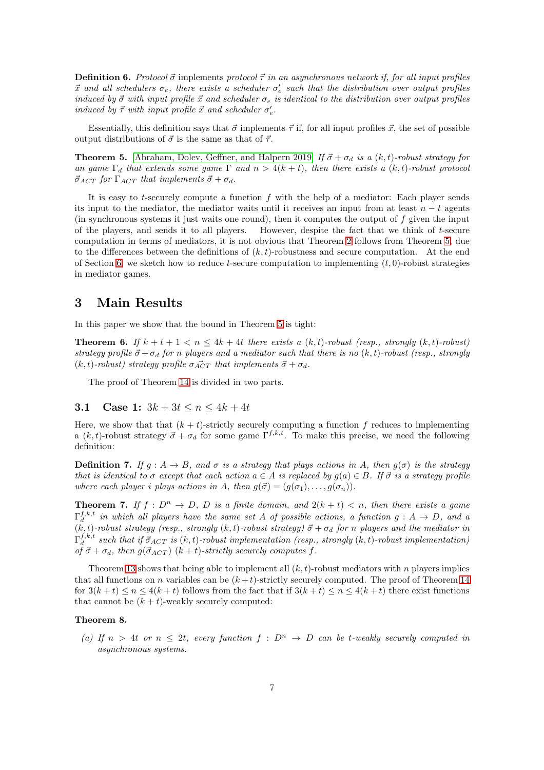**Definition 6.** Protocol  $\vec{\sigma}$  implements protocol  $\vec{\tau}$  in an asynchronous network if, for all input profiles  $\vec{x}$  and all schedulers  $\sigma_e$ , there exists a scheduler  $\sigma'_e$  such that the distribution over output profiles induced by  $\vec{\sigma}$  with input profile  $\vec{x}$  and scheduler  $\sigma_e$  is identical to the distribution over output profiles induced by  $\vec{\tau}$  with input profile  $\vec{x}$  and scheduler  $\sigma'_{e}$ .

Essentially, this definition says that  $\vec{\sigma}$  implements  $\vec{\tau}$  if, for all input profiles  $\vec{x}$ , the set of possible output distributions of  $\vec{\sigma}$  is the same as that of  $\vec{\tau}$ .

<span id="page-6-0"></span>**Theorem 5.** [\[Abraham, Dolev, Geffner, and Halpern 2019\]](#page-18-0) If  $\vec{\sigma} + \sigma_d$  is a  $(k, t)$ -robust strategy for an game  $\Gamma_d$  that extends some game  $\Gamma$  and  $n > 4(k+t)$ , then there exists a  $(k, t)$ -robust protocol  $\vec{\sigma}_{ACT}$  for  $\Gamma_{ACT}$  that implements  $\vec{\sigma} + \sigma_d$ .

It is easy to t-securely compute a function  $f$  with the help of a mediator: Each player sends its input to the mediator, the mediator waits until it receives an input from at least  $n - t$  agents (in synchronous systems it just waits one round), then it computes the output of f given the input of the players, and sends it to all players. However, despite the fact that we think of t-secure computation in terms of mediators, it is not obvious that Theorem [2](#page-4-1) follows from Theorem [5,](#page-6-0) due to the differences between the definitions of  $(k, t)$ -robustness and secure computation. At the end of Section [6,](#page-9-0) we sketch how to reduce t-secure computation to implementing  $(t, 0)$ -robust strategies in mediator games.

## 3 Main Results

In this paper we show that the bound in Theorem [5](#page-6-0) is tight:

**Theorem 6.** If  $k + t + 1 < n \leq 4k + 4t$  there exists a  $(k, t)$ -robust (resp., strongly  $(k, t)$ -robust) strategy profile  $\vec{\sigma} + \sigma_d$  for n players and a mediator such that there is no  $(k, t)$ -robust (resp., strongly  $(k, t)$ -robust) strategy profile  $\sigma_{ACT}$  that implements  $\vec{\sigma} + \sigma_d$ .

The proof of Theorem [14](#page-10-0) is divided in two parts.

## 3.1 Case 1:  $3k + 3t \le n \le 4k + 4t$

Here, we show that that  $(k + t)$ -strictly securely computing a function f reduces to implementing a  $(k, t)$ -robust strategy  $\vec{\sigma} + \sigma_d$  for some game  $\Gamma^{f,k,t}$ . To make this precise, we need the following definition:

**Definition 7.** If  $g : A \rightarrow B$ , and  $\sigma$  is a strategy that plays actions in A, then  $g(\sigma)$  is the strategy that is identical to  $\sigma$  except that each action  $a \in A$  is replaced by  $g(a) \in B$ . If  $\vec{\sigma}$  is a strategy profile where each player i plays actions in A, then  $q(\vec{\sigma}) = (q(\sigma_1), \ldots, q(\sigma_n)).$ 

**Theorem 7.** If  $f: D^n \to D$ , D is a finite domain, and  $2(k + t) < n$ , then there exists a game  $\Gamma_d^{f,k,t}$  in which all players have the same set A of possible actions, a function  $g : A \to D$ , and a  $(k, t)$ -robust strategy (resp., strongly  $(k, t)$ -robust strategy)  $\vec{\sigma} + \sigma_d$  for n players and the mediator in  $\Gamma_d^{f,k,t}$  such that if  $\vec{\sigma}_{ACT}$  is  $(k,t)$ -robust implementation (resp., strongly  $(k,t)$ -robust implementation) of  $\vec{\sigma} + \sigma_d$ , then  $g(\vec{\sigma}_{ACT})$   $(k + t)$ -strictly securely computes f.

Theorem [13](#page-9-1) shows that being able to implement all  $(k, t)$ -robust mediators with n players implies that all functions on n variables can be  $(k+t)$ -strictly securely computed. The proof of Theorem [14](#page-10-0) for  $3(k+t) \leq n \leq 4(k+t)$  follows from the fact that if  $3(k+t) \leq n \leq 4(k+t)$  there exist functions that cannot be  $(k + t)$ -weakly securely computed:

### Theorem 8.

(a) If  $n > 4t$  or  $n \leq 2t$ , every function  $f : D^n \to D$  can be t-weakly securely computed in asynchronous systems.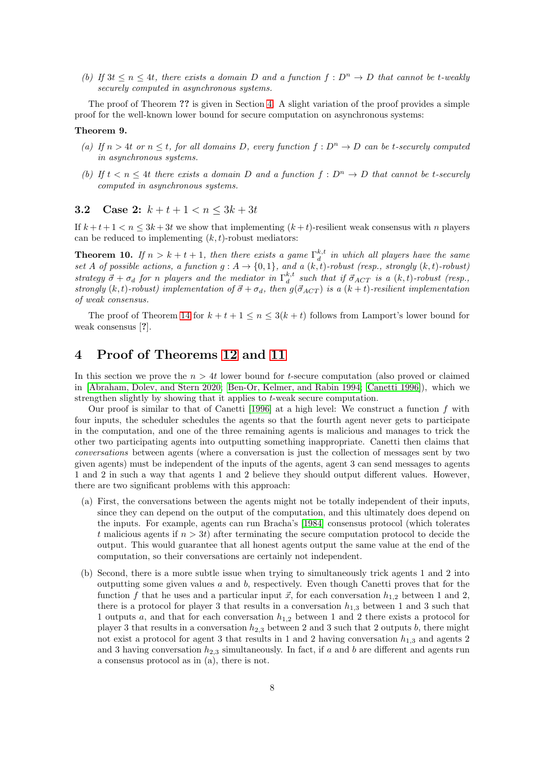(b) If  $3t \leq n \leq 4t$ , there exists a domain D and a function  $f: D^n \to D$  that cannot be t-weakly securely computed in asynchronous systems.

The proof of Theorem ?? is given in Section [4.](#page-7-0) A slight variation of the proof provides a simple proof for the well-known lower bound for secure computation on asynchronous systems:

#### Theorem 9.

- (a) If  $n > 4t$  or  $n \leq t$ , for all domains D, every function  $f: D^n \to D$  can be t-securely computed in asynchronous systems.
- (b) If  $t < n \leq 4t$  there exists a domain D and a function  $f : D^n \to D$  that cannot be t-securely computed in asynchronous systems.

## 3.2 Case 2:  $k + t + 1 < n < 3k + 3t$

If  $k + t + 1 < n < 3k + 3t$  we show that implementing  $(k + t)$ -resilient weak consensus with n players can be reduced to implementing  $(k, t)$ -robust mediators:

**Theorem 10.** If  $n > k + t + 1$ , then there exists a game  $\Gamma_d^{k,t}$  in which all players have the same **Theorem 10.**  $I_j$   $n > n + i + 1$ , then there exists a game  $I_d$  in unter all players have the same set A of possible actions, a function  $g : A \rightarrow \{0,1\}$ , and a  $(k,t)$ -robust (resp., strongly  $(k,t)$ -robust) strategy  $\vec{\sigma} + \sigma_d$  for n players and the mediator in  $\Gamma_d^{k,t}$  such that if  $\vec{\sigma}_{ACT}$  is a  $(k,t)$ -robust (resp., strongly (k, t)-robust) implementation of  $\vec{\sigma} + \sigma_d$ , then  $g(\vec{\sigma}_{ACT})$  is a (k + t)-resilient implementation of weak consensus.

The proof of Theorem [14](#page-10-0) for  $k + t + 1 \le n \le 3(k + t)$  follows from Lamport's lower bound for weak consensus [?].

# <span id="page-7-0"></span>4 Proof of Theorems [12](#page-8-0) and [11](#page-8-1)

In this section we prove the  $n > 4t$  lower bound for t-secure computation (also proved or claimed in [\[Abraham, Dolev, and Stern 2020;](#page-18-2) [Ben-Or, Kelmer, and Rabin 1994;](#page-18-3) [Canetti 1996\]](#page-19-0)), which we strengthen slightly by showing that it applies to t-weak secure computation.

Our proof is similar to that of Canetti [\[1996\]](#page-19-0) at a high level: We construct a function  $f$  with four inputs, the scheduler schedules the agents so that the fourth agent never gets to participate in the computation, and one of the three remaining agents is malicious and manages to trick the other two participating agents into outputting something inappropriate. Canetti then claims that conversations between agents (where a conversation is just the collection of messages sent by two given agents) must be independent of the inputs of the agents, agent 3 can send messages to agents 1 and 2 in such a way that agents 1 and 2 believe they should output different values. However, there are two significant problems with this approach:

- (a) First, the conversations between the agents might not be totally independent of their inputs, since they can depend on the output of the computation, and this ultimately does depend on the inputs. For example, agents can run Bracha's [\[1984\]](#page-18-7) consensus protocol (which tolerates t malicious agents if  $n > 3t$ ) after terminating the secure computation protocol to decide the output. This would guarantee that all honest agents output the same value at the end of the computation, so their conversations are certainly not independent.
- (b) Second, there is a more subtle issue when trying to simultaneously trick agents 1 and 2 into outputting some given values a and b, respectively. Even though Canetti proves that for the function f that he uses and a particular input  $\vec{x}$ , for each conversation  $h_{1,2}$  between 1 and 2, there is a protocol for player 3 that results in a conversation  $h_{1,3}$  between 1 and 3 such that 1 outputs a, and that for each conversation  $h_{1,2}$  between 1 and 2 there exists a protocol for player 3 that results in a conversation  $h_{2,3}$  between 2 and 3 such that 2 outputs b, there might not exist a protocol for agent 3 that results in 1 and 2 having conversation  $h_{1,3}$  and agents 2 and 3 having conversation  $h_{2,3}$  simultaneously. In fact, if a and b are different and agents run a consensus protocol as in (a), there is not.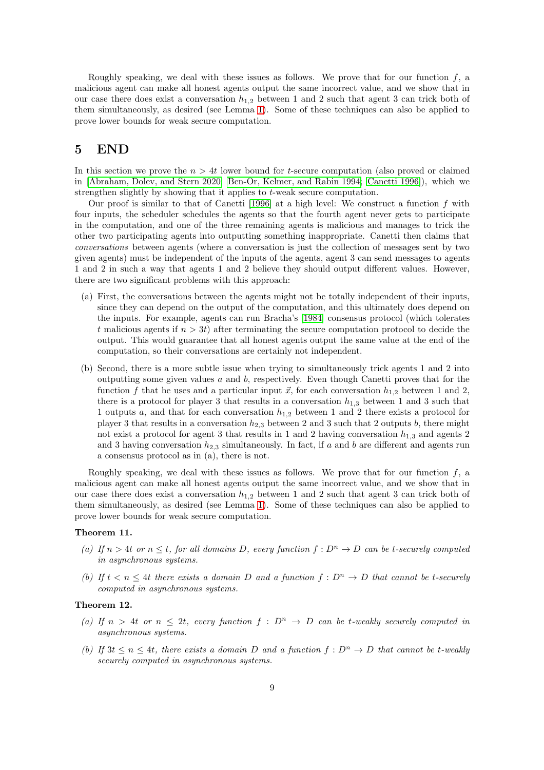Roughly speaking, we deal with these issues as follows. We prove that for our function  $f$ , a malicious agent can make all honest agents output the same incorrect value, and we show that in our case there does exist a conversation  $h_{1,2}$  between 1 and 2 such that agent 3 can trick both of them simultaneously, as desired (see Lemma [1\)](#page-11-0). Some of these techniques can also be applied to prove lower bounds for weak secure computation.

## 5 END

In this section we prove the  $n > 4t$  lower bound for t-secure computation (also proved or claimed in [\[Abraham, Dolev, and Stern 2020;](#page-18-2) [Ben-Or, Kelmer, and Rabin 1994;](#page-18-3) [Canetti 1996\]](#page-19-0)), which we strengthen slightly by showing that it applies to t-weak secure computation.

Our proof is similar to that of Canetti [\[1996\]](#page-19-0) at a high level: We construct a function  $f$  with four inputs, the scheduler schedules the agents so that the fourth agent never gets to participate in the computation, and one of the three remaining agents is malicious and manages to trick the other two participating agents into outputting something inappropriate. Canetti then claims that conversations between agents (where a conversation is just the collection of messages sent by two given agents) must be independent of the inputs of the agents, agent 3 can send messages to agents 1 and 2 in such a way that agents 1 and 2 believe they should output different values. However, there are two significant problems with this approach:

- (a) First, the conversations between the agents might not be totally independent of their inputs, since they can depend on the output of the computation, and this ultimately does depend on the inputs. For example, agents can run Bracha's [\[1984\]](#page-18-7) consensus protocol (which tolerates t malicious agents if  $n > 3t$ ) after terminating the secure computation protocol to decide the output. This would guarantee that all honest agents output the same value at the end of the computation, so their conversations are certainly not independent.
- (b) Second, there is a more subtle issue when trying to simultaneously trick agents 1 and 2 into outputting some given values a and b, respectively. Even though Canetti proves that for the function f that he uses and a particular input  $\vec{x}$ , for each conversation  $h_{1,2}$  between 1 and 2, there is a protocol for player 3 that results in a conversation  $h_{1,3}$  between 1 and 3 such that 1 outputs a, and that for each conversation  $h_{1,2}$  between 1 and 2 there exists a protocol for player 3 that results in a conversation  $h_{2,3}$  between 2 and 3 such that 2 outputs b, there might not exist a protocol for agent 3 that results in 1 and 2 having conversation  $h_{1,3}$  and agents 2 and 3 having conversation  $h_{2,3}$  simultaneously. In fact, if a and b are different and agents run a consensus protocol as in (a), there is not.

Roughly speaking, we deal with these issues as follows. We prove that for our function  $f$ , a malicious agent can make all honest agents output the same incorrect value, and we show that in our case there does exist a conversation  $h_{1,2}$  between 1 and 2 such that agent 3 can trick both of them simultaneously, as desired (see Lemma [1\)](#page-11-0). Some of these techniques can also be applied to prove lower bounds for weak secure computation.

#### <span id="page-8-1"></span>Theorem 11.

- (a) If  $n > 4t$  or  $n \leq t$ , for all domains D, every function  $f: D^n \to D$  can be t-securely computed in asynchronous systems.
- (b) If  $t < n \leq 4t$  there exists a domain D and a function  $f : D^n \to D$  that cannot be t-securely computed in asynchronous systems.

### <span id="page-8-0"></span>Theorem 12.

- (a) If  $n > 4t$  or  $n \leq 2t$ , every function  $f : D^n \to D$  can be t-weakly securely computed in asynchronous systems.
- (b) If  $3t \leq n \leq 4t$ , there exists a domain D and a function  $f: D^n \to D$  that cannot be t-weakly securely computed in asynchronous systems.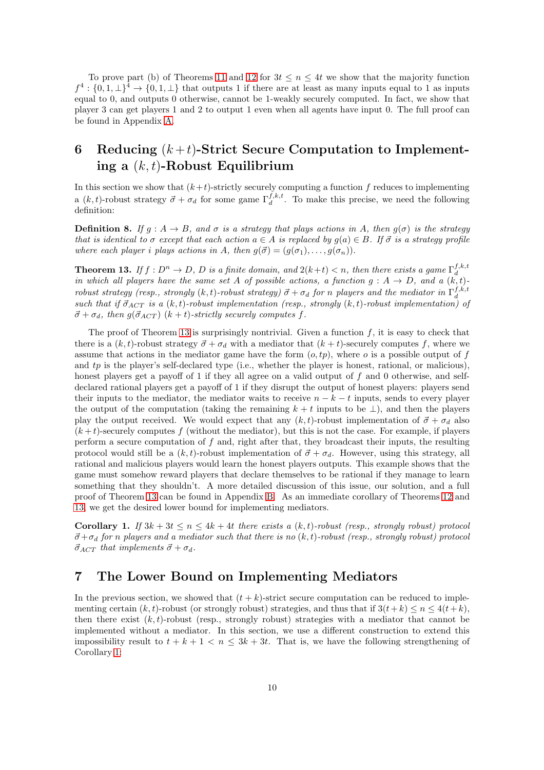To prove part (b) of Theorems [11](#page-8-1) and [12](#page-8-0) for  $3t \leq n \leq 4t$  we show that the majority function  $f^4: \{0,1,\perp\}^4 \to \{0,1,\perp\}$  that outputs 1 if there are at least as many inputs equal to 1 as inputs equal to 0, and outputs 0 otherwise, cannot be 1-weakly securely computed. In fact, we show that player 3 can get players 1 and 2 to output 1 even when all agents have input 0. The full proof can be found in Appendix [A.](#page-11-1)

# <span id="page-9-0"></span>6 Reducing  $(k+t)$ -Strict Secure Computation to Implementing a  $(k, t)$ -Robust Equilibrium

In this section we show that  $(k+t)$ -strictly securely computing a function f reduces to implementing a  $(k, t)$ -robust strategy  $\vec{\sigma} + \sigma_d$  for some game  $\Gamma_d^{f,k,t}$ . To make this precise, we need the following definition:

**Definition 8.** If  $g : A \to B$ , and  $\sigma$  is a strategy that plays actions in A, then  $g(\sigma)$  is the strategy that is identical to  $\sigma$  except that each action  $a \in A$  is replaced by  $g(a) \in B$ . If  $\vec{\sigma}$  is a strategy profile where each player i plays actions in A, then  $g(\vec{\sigma}) = (g(\sigma_1), \ldots, g(\sigma_n)).$ 

<span id="page-9-1"></span>**Theorem 13.** If  $f: D^n \to D$ , D is a finite domain, and  $2(k+t) < n$ , then there exists a game  $\Gamma_d^{f,k,t}$ in which all players have the same set A of possible actions, a function  $g : A \to D$ , and a  $(k, t)$ robust strategy (resp., strongly  $(k,t)$ -robust strategy)  $\vec{\sigma} + \sigma_d$  for n players and the mediator in  $\Gamma_d^{f,k,t}$ such that if  $\vec{\sigma}_{ACT}$  is a  $(k, t)$ -robust implementation (resp., strongly  $(k, t)$ -robust implementation) of  $\vec{\sigma} + \sigma_d$ , then  $g(\vec{\sigma}_{ACT})$   $(k + t)$ -strictly securely computes f.

The proof of Theorem [13](#page-9-1) is surprisingly nontrivial. Given a function  $f$ , it is easy to check that there is a  $(k, t)$ -robust strategy  $\vec{\sigma} + \sigma_d$  with a mediator that  $(k + t)$ -securely computes f, where we assume that actions in the mediator game have the form  $(o, tp)$ , where  $o$  is a possible output of  $f$ and tp is the player's self-declared type (i.e., whether the player is honest, rational, or malicious), honest players get a payoff of 1 if they all agree on a valid output of f and 0 otherwise, and selfdeclared rational players get a payoff of 1 if they disrupt the output of honest players: players send their inputs to the mediator, the mediator waits to receive  $n - k - t$  inputs, sends to every player the output of the computation (taking the remaining  $k + t$  inputs to be  $\perp$ ), and then the players play the output received. We would expect that any  $(k, t)$ -robust implementation of  $\vec{\sigma} + \sigma_d$  also  $(k + t)$ -securely computes f (without the mediator), but this is not the case. For example, if players perform a secure computation of f and, right after that, they broadcast their inputs, the resulting protocol would still be a  $(k, t)$ -robust implementation of  $\vec{\sigma} + \sigma_d$ . However, using this strategy, all rational and malicious players would learn the honest players outputs. This example shows that the game must somehow reward players that declare themselves to be rational if they manage to learn something that they shouldn't. A more detailed discussion of this issue, our solution, and a full proof of Theorem [13](#page-9-1) can be found in Appendix [B.](#page-13-0) As an immediate corollary of Theorems [12](#page-8-0) and [13,](#page-9-1) we get the desired lower bound for implementing mediators.

<span id="page-9-2"></span>Corollary 1. If  $3k + 3t \le n \le 4k + 4t$  there exists a  $(k, t)$ -robust (resp., strongly robust) protocol  $\vec{\sigma}+\sigma_d$  for n players and a mediator such that there is no  $(k, t)$ -robust (resp., strongly robust) protocol  $\vec{\sigma}_{ACT}$  that implements  $\vec{\sigma} + \sigma_d$ .

# 7 The Lower Bound on Implementing Mediators

In the previous section, we showed that  $(t + k)$ -strict secure computation can be reduced to implementing certain  $(k, t)$ -robust (or strongly robust) strategies, and thus that if  $3(t+k) \le n \le 4(t+k)$ , then there exist  $(k, t)$ -robust (resp., strongly robust) strategies with a mediator that cannot be implemented without a mediator. In this section, we use a different construction to extend this impossibility result to  $t + k + 1 < n \leq 3k + 3t$ . That is, we have the following strengthening of Corollary [1:](#page-9-2)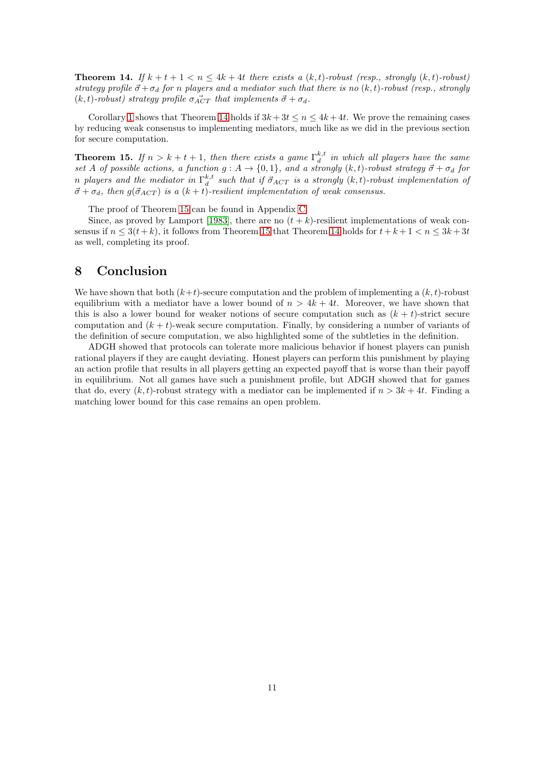<span id="page-10-0"></span>**Theorem 14.** If  $k + t + 1 < n \leq 4k + 4t$  there exists a  $(k, t)$ -robust (resp., strongly  $(k, t)$ -robust) strategy profile  $\vec{\sigma} + \sigma_d$  for n players and a mediator such that there is no  $(k, t)$ -robust (resp., strongly  $(k, t)$ -robust) strategy profile  $\sigma_{ACT}$  that implements  $\vec{\sigma} + \sigma_d$ .

Corollary [1](#page-9-2) shows that Theorem [14](#page-10-0) holds if  $3k+3t \leq n \leq 4k+4t$ . We prove the remaining cases by reducing weak consensus to implementing mediators, much like as we did in the previous section for secure computation.

<span id="page-10-1"></span>**Theorem 15.** If  $n > k + t + 1$ , then there exists a game  $\Gamma_d^{k,t}$  in which all players have the same set A of possible actions, a function  $g : A \to \{0,1\}$ , and a strongly  $(k, t)$ -robust strategy  $\vec{\sigma} + \sigma_d$  for n players and the mediator in  $\Gamma^{k,t}_d$  such that if  $\vec{\sigma}_{ACT}$  is a strongly  $(k,t)$ -robust implementation of  $\vec{\sigma} + \sigma_d$ , then  $g(\vec{\sigma}_{ACT})$  is a  $(k + t)$ -resilient implementation of weak consensus.

The proof of Theorem [15](#page-10-1) can be found in Appendix [C.](#page-17-0)

Since, as proved by Lamport [\[1983\]](#page-19-2), there are no  $(t + k)$ -resilient implementations of weak consensus if  $n \leq 3(t+k)$ , it follows from Theorem [15](#page-10-1) that Theorem [14](#page-10-0) holds for  $t+k+1 < n \leq 3k+3t$ as well, completing its proof.

# 8 Conclusion

We have shown that both  $(k+t)$ -secure computation and the problem of implementing a  $(k, t)$ -robust equilibrium with a mediator have a lower bound of  $n > 4k + 4t$ . Moreover, we have shown that this is also a lower bound for weaker notions of secure computation such as  $(k + t)$ -strict secure computation and  $(k + t)$ -weak secure computation. Finally, by considering a number of variants of the definition of secure computation, we also highlighted some of the subtleties in the definition.

ADGH showed that protocols can tolerate more malicious behavior if honest players can punish rational players if they are caught deviating. Honest players can perform this punishment by playing an action profile that results in all players getting an expected payoff that is worse than their payoff in equilibrium. Not all games have such a punishment profile, but ADGH showed that for games that do, every  $(k, t)$ -robust strategy with a mediator can be implemented if  $n > 3k + 4t$ . Finding a matching lower bound for this case remains an open problem.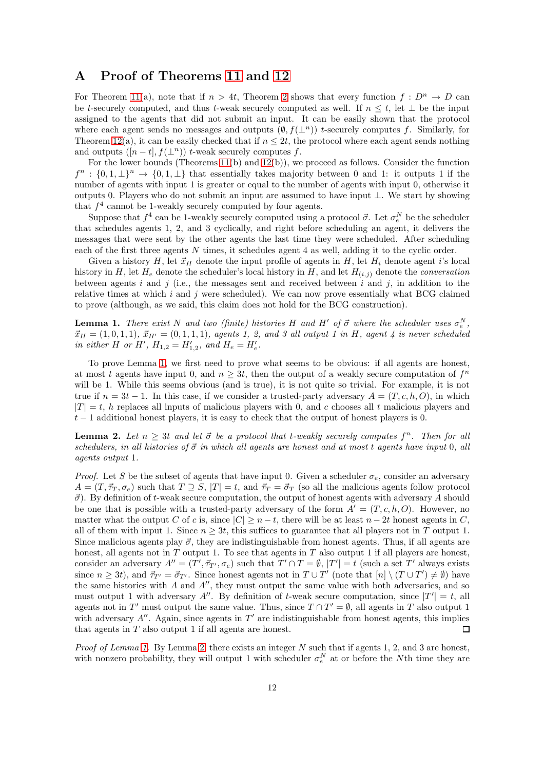# <span id="page-11-1"></span>A Proof of Theorems [11](#page-8-1) and [12](#page-8-0)

For Theorem [11\(](#page-8-1)a), note that if  $n > 4t$ , Theorem [2](#page-4-1) shows that every function  $f: D^n \to D$  can be t-securely computed, and thus t-weak securely computed as well. If  $n \leq t$ , let  $\perp$  be the input assigned to the agents that did not submit an input. It can be easily shown that the protocol where each agent sends no messages and outputs  $(\emptyset, f(\perp^n))$  t-securely computes f. Similarly, for Theorem [12\(](#page-8-0)a), it can be easily checked that if  $n \leq 2t$ , the protocol where each agent sends nothing and outputs  $([n-t], f(\perp^n))$  t-weak securely computes f.

For the lower bounds (Theorems [11\(](#page-8-1)b) and [12\(](#page-8-0)b)), we proceed as follows. Consider the function  $f^{n} : \{0,1,\perp\}^{n} \to \{0,1,\perp\}$  that essentially takes majority between 0 and 1: it outputs 1 if the number of agents with input 1 is greater or equal to the number of agents with input 0, otherwise it outputs 0. Players who do not submit an input are assumed to have input ⊥. We start by showing that  $f^4$  cannot be 1-weakly securely computed by four agents.

Suppose that  $f^4$  can be 1-weakly securely computed using a protocol  $\vec{\sigma}$ . Let  $\sigma_e^N$  be the scheduler that schedules agents 1, 2, and 3 cyclically, and right before scheduling an agent, it delivers the messages that were sent by the other agents the last time they were scheduled. After scheduling each of the first three agents N times, it schedules agent 4 as well, adding it to the cyclic order.

Given a history H, let  $\vec{x}_H$  denote the input profile of agents in H, let  $H_i$  denote agent i's local history in H, let  $H_e$  denote the scheduler's local history in H, and let  $H_{(i,j)}$  denote the *conversation* between agents i and j (i.e., the messages sent and received between i and j, in addition to the relative times at which  $i$  and  $j$  were scheduled). We can now prove essentially what BCG claimed to prove (although, as we said, this claim does not hold for the BCG construction).

<span id="page-11-0"></span>**Lemma 1.** There exist N and two (finite) histories H and H' of  $\vec{\sigma}$  where the scheduler uses  $\sigma_e^N$ ,  $\vec{x}_H = (1, 0, 1, 1), \, \vec{x}_{H'} = (0, 1, 1, 1),$  agents 1, 2, and 3 all output 1 in H, agent 4 is never scheduled in either H or H',  $H_{1,2} = H'_{1,2}$ , and  $H_e = H'_e$ .

To prove Lemma [1,](#page-11-0) we first need to prove what seems to be obvious: if all agents are honest, at most t agents have input 0, and  $n \geq 3t$ , then the output of a weakly secure computation of  $f^n$ will be 1. While this seems obvious (and is true), it is not quite so trivial. For example, it is not true if  $n = 3t - 1$ . In this case, if we consider a trusted-party adversary  $A = (T, c, h, O)$ , in which  $|T| = t$ , h replaces all inputs of malicious players with 0, and c chooses all t malicious players and  $t-1$  additional honest players, it is easy to check that the output of honest players is 0.

<span id="page-11-2"></span>**Lemma 2.** Let  $n \geq 3t$  and let  $\vec{\sigma}$  be a protocol that t-weakly securely computes  $f^n$ . Then for all schedulers, in all histories of  $\vec{\sigma}$  in which all agents are honest and at most t agents have input 0, all agents output 1.

*Proof.* Let S be the subset of agents that have input 0. Given a scheduler  $\sigma_e$ , consider an adversary  $A = (T, \vec{\tau}_T, \sigma_e)$  such that  $T \supseteq S$ ,  $|T| = t$ , and  $\vec{\tau}_T = \vec{\sigma}_T$  (so all the malicious agents follow protocol  $\vec{\sigma}$ ). By definition of t-weak secure computation, the output of honest agents with adversary A should be one that is possible with a trusted-party adversary of the form  $A' = (T, c, h, O)$ . However, no matter what the output C of c is, since  $|C| \ge n - t$ , there will be at least  $n - 2t$  honest agents in C, all of them with input 1. Since  $n \geq 3t$ , this suffices to guarantee that all players not in T output 1. Since malicious agents play  $\vec{\sigma}$ , they are indistinguishable from honest agents. Thus, if all agents are honest, all agents not in  $T$  output 1. To see that agents in  $T$  also output 1 if all players are honest, consider an adversary  $A'' = (T', \vec{\tau}_{T'}, \sigma_e)$  such that  $T' \cap T = \emptyset$ ,  $|T'| = t$  (such a set T' always exists since  $n \ge 3t$ , and  $\vec{\tau}_{T'} = \vec{\sigma}_{T'}$ . Since honest agents not in  $T \cup T'$  (note that  $[n] \setminus (T \cup T') \neq \emptyset$ ) have the same histories with  $A$  and  $A''$ , they must output the same value with both adversaries, and so must output 1 with adversary A''. By definition of t-weak secure computation, since  $|T'| = t$ , all agents not in T' must output the same value. Thus, since  $T \cap T' = \emptyset$ , all agents in T also output 1 with adversary  $A''$ . Again, since agents in  $T'$  are indistinguishable from honest agents, this implies that agents in  $T$  also output 1 if all agents are honest.  $\Box$ 

*Proof of Lemma [1.](#page-11-0)* By Lemma [2,](#page-11-2) there exists an integer  $N$  such that if agents 1, 2, and 3 are honest, with nonzero probability, they will output 1 with scheduler  $\sigma_e^N$  at or before the Nth time they are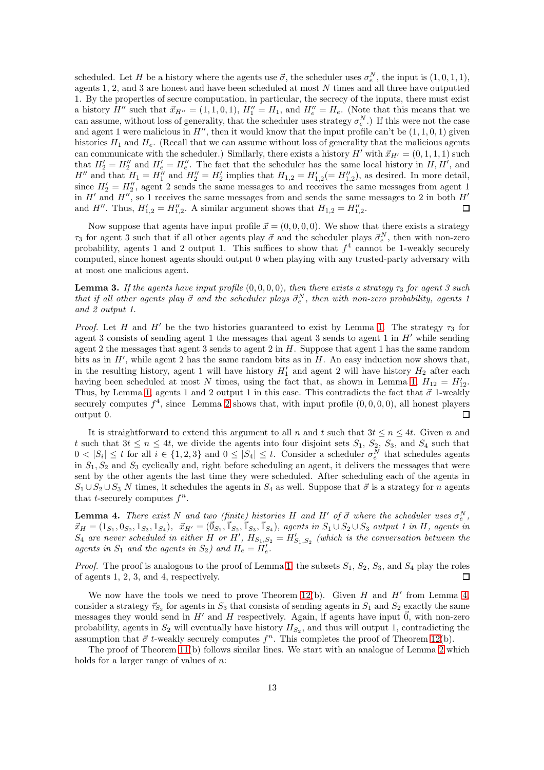scheduled. Let H be a history where the agents use  $\vec{\sigma}$ , the scheduler uses  $\sigma_e^N$ , the input is  $(1,0,1,1)$ , agents  $1, 2$ , and  $3$  are honest and have been scheduled at most  $N$  times and all three have outputted 1. By the properties of secure computation, in particular, the secrecy of the inputs, there must exist a history  $H''$  such that  $\vec{x}_{H''} = (1, 1, 0, 1), H''_1 = H_1$ , and  $H''_e = H_e$ . (Note that this means that we can assume, without loss of generality, that the scheduler uses strategy  $\sigma_e^N$ .) If this were not the case and agent 1 were malicious in  $H''$ , then it would know that the input profile can't be  $(1, 1, 0, 1)$  given histories  $H_1$  and  $H_e$ . (Recall that we can assume without loss of generality that the malicious agents can communicate with the scheduler.) Similarly, there exists a history  $H'$  with  $\vec{x}_{H'} = (0, 1, 1, 1)$  such that  $H'_2 = H''_2$  and  $H'_e = H''_e$ . The fact that the scheduler has the same local history in  $H, H'$ , and  $H''$  and that  $H_1 = H''_1$  and  $H''_2 = H'_2$  implies that  $H_{1,2} = H'_{1,2} (= H''_{1,2})$ , as desired. In more detail, since  $H'_2 = H''_2$ , agent 2 sends the same messages to and receives the same messages from agent 1 in  $H'$  and  $H''$ , so 1 receives the same messages from and sends the same messages to 2 in both  $H'$ and H''. Thus,  $H'_{1,2} = H''_{1,2}$ . A similar argument shows that  $H_{1,2} = H''_{1,2}$ .  $\Box$ 

Now suppose that agents have input profile  $\vec{x} = (0, 0, 0, 0)$ . We show that there exists a strategy  $\tau_3$  for agent 3 such that if all other agents play  $\vec{\sigma}$  and the scheduler plays  $\vec{\sigma}_e^N$ , then with non-zero probability, agents 1 and 2 output 1. This suffices to show that  $f<sup>4</sup>$  cannot be 1-weakly securely computed, since honest agents should output 0 when playing with any trusted-party adversary with at most one malicious agent.

**Lemma 3.** If the agents have input profile  $(0, 0, 0, 0)$ , then there exists a strategy  $\tau_3$  for agent 3 such that if all other agents play  $\vec{\sigma}$  and the scheduler plays  $\vec{\sigma}_{e}^{N}$ , then with non-zero probability, agents 1 and 2 output 1.

*Proof.* Let H and H' be the two histories guaranteed to exist by Lemma [1.](#page-11-0) The strategy  $\tau_3$  for agent 3 consists of sending agent 1 the messages that agent 3 sends to agent 1 in  $H'$  while sending agent 2 the messages that agent 3 sends to agent 2 in  $H$ . Suppose that agent 1 has the same random bits as in  $H'$ , while agent 2 has the same random bits as in  $H$ . An easy induction now shows that, in the resulting history, agent 1 will have history  $H'_1$  and agent 2 will have history  $H_2$  after each having been scheduled at most N times, using the fact that, as shown in Lemma [1,](#page-11-0)  $H_{12} = H'_{12}$ . Thus, by Lemma [1,](#page-11-0) agents 1 and 2 output 1 in this case. This contradicts the fact that  $\vec{\sigma}$  1-weakly securely computes  $f^4$ , since Lemma [2](#page-11-2) shows that, with input profile  $(0, 0, 0, 0)$ , all honest players  $\Box$ output 0.

It is straightforward to extend this argument to all n and t such that  $3t \leq n \leq 4t$ . Given n and t such that  $3t \leq n \leq 4t$ , we divide the agents into four disjoint sets  $S_1$ ,  $S_2$ ,  $S_3$ , and  $S_4$  such that  $0 < |S_i| \le t$  for all  $i \in \{1, 2, 3\}$  and  $0 \le |S_4| \le t$ . Consider a scheduler  $\sigma_e^N$  that schedules agents in  $S_1, S_2$  and  $S_3$  cyclically and, right before scheduling an agent, it delivers the messages that were sent by the other agents the last time they were scheduled. After scheduling each of the agents in  $S_1 \cup S_2 \cup S_3$  N times, it schedules the agents in  $S_4$  as well. Suppose that  $\vec{\sigma}$  is a strategy for n agents that *t*-securely computes  $f^n$ .

<span id="page-12-0"></span>**Lemma 4.** There exist N and two (finite) histories H and H' of  $\vec{\sigma}$  where the scheduler uses  $\sigma_e^N$ ,  $\vec{x}_H = (1_{S_1}, 0_{S_2}, 1_{S_3}, 1_{S_4}), \ \ \vec{x}_{H'} = (\vec{0}_{S_1}, \vec{1}_{S_2}, \vec{1}_{S_3}, \vec{1}_{S_4}), \ \text{agents in } S_1 \cup S_2 \cup S_3 \ \text{output 1 in } H, \ \text{agents in } S_1$  $S_4$  are never scheduled in either H or H',  $H_{S_1,S_2} = H'_{S_1,S_2}$  (which is the conversation between the agents in  $S_1$  and the agents in  $S_2$ ) and  $H_e = H'_e$ .

*Proof.* The proof is analogous to the proof of Lemma [1;](#page-11-0) the subsets  $S_1$ ,  $S_2$ ,  $S_3$ , and  $S_4$  play the roles of agents 1, 2, 3, and 4, respectively.  $\Box$ 

We now have the tools we need to prove Theorem [12\(](#page-8-0)b). Given  $H$  and  $H'$  from Lemma [4,](#page-12-0) consider a strategy  $\vec{\tau}_{S_3}$  for agents in  $S_3$  that consists of sending agents in  $S_1$  and  $S_2$  exactly the same messages they would send in  $H'$  and  $H$  respectively. Again, if agents have input  $\vec{0}$ , with non-zero probability, agents in  $S_2$  will eventually have history  $H_{S_2}$ , and thus will output 1, contradicting the assumption that  $\vec{\sigma}$  t-weakly securely computes  $f^n$ . This completes the proof of Theorem [12\(](#page-8-0)b).

The proof of Theorem [11\(](#page-8-1)b) follows similar lines. We start with an analogue of Lemma [2](#page-11-2) which holds for a larger range of values of n: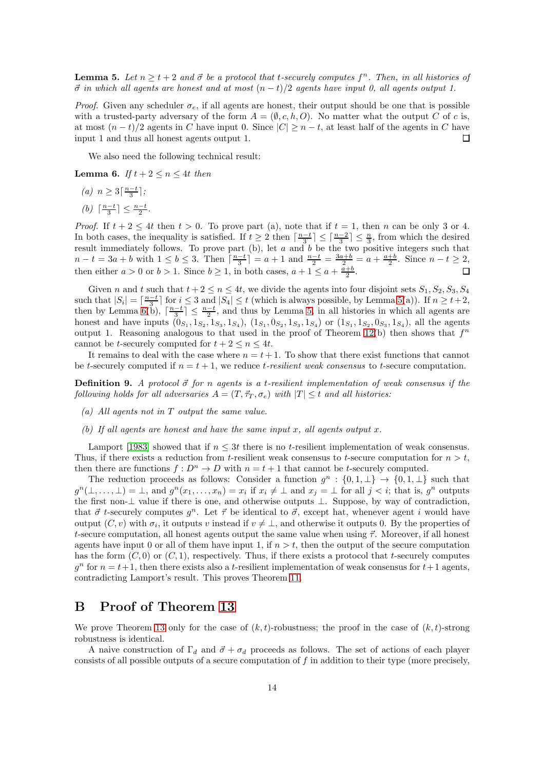<span id="page-13-1"></span>**Lemma 5.** Let  $n \geq t+2$  and  $\vec{\sigma}$  be a protocol that t-securely computes  $f^n$ . Then, in all histories of  $\vec{\sigma}$  in which all agents are honest and at most  $(n-t)/2$  agents have input 0, all agents output 1.

*Proof.* Given any scheduler  $\sigma_e$ , if all agents are honest, their output should be one that is possible with a trusted-party adversary of the form  $A = (\emptyset, c, h, O)$ . No matter what the output C of c is, at most  $(n-t)/2$  agents in C have input 0. Since  $|C| \geq n-t$ , at least half of the agents in C have input 1 and thus all honest agents output 1.  $\Box$ 

We also need the following technical result:

<span id="page-13-2"></span>**Lemma 6.** If  $t + 2 \leq n \leq 4t$  then

- (a)  $n \geq 3\lceil \frac{n-t}{3} \rceil$ ;
- $(b) \lceil \frac{n-t}{3} \rceil \leq \frac{n-t}{2}.$

*Proof.* If  $t + 2 \leq 4t$  then  $t > 0$ . To prove part (a), note that if  $t = 1$ , then n can be only 3 or 4. In both cases, the inequality is satisfied. If  $t \geq 2$  then  $\lceil \frac{n-t}{3} \rceil \leq \lceil \frac{n-2}{3} \rceil \leq \frac{n}{3}$ , from which the desired result immediately follows. To prove part  $(b)$ , let a and b be the two positive integers such that  $n-t = 3a + b$  with  $1 \le b \le 3$ . Then  $\lceil \frac{n-t}{3} \rceil = a + 1$  and  $\frac{n-t}{2} = \frac{3a+b}{2} = a + \frac{a+b}{2}$ . Since  $n-t \ge 2$ , then either  $a > 0$  or  $b > 1$ . Since  $b \ge 1$ , in both cases,  $a + 1 \le a + \frac{a+b}{2}$ .

Given n and t such that  $t + 2 \le n \le 4t$ , we divide the agents into four disjoint sets  $S_1, S_2, S_3, S_4$ such that  $|S_i| = \lceil \frac{n-t}{3} \rceil$  for  $i \leq 3$  and  $|S_4| \leq t$  (which is always possible, by Lemma [5\(](#page-13-1)a)). If  $n \geq t+2$ , then by Lemma [6\(](#page-13-2)b),  $\lceil \frac{n-t}{3} \rceil \leq \frac{n-t}{2}$ , and thus by Lemma [5,](#page-13-1) in all histories in which all agents are honest and have inputs  $(0_{S_1}, 1_{S_2}, 1_{S_3}, 1_{S_4})$ ,  $(1_{S_1}, 0_{S_2}, 1_{S_3}, 1_{S_4})$  or  $(1_{S_1}, 1_{S_2}, 0_{S_3}, 1_{S_4})$ , all the agents output 1. Reasoning analogous to that used in the proof of Theorem [12\(](#page-8-0)b) then shows that  $f^n$ cannot be t-securely computed for  $t + 2 \leq n \leq 4t$ .

It remains to deal with the case where  $n = t + 1$ . To show that there exist functions that cannot be t-securely computed if  $n = t + 1$ , we reduce t-resilient weak consensus to t-secure computation.

**Definition 9.** A protocol  $\vec{\sigma}$  for n agents is a t-resilient implementation of weak consensus if the following holds for all adversaries  $A = (T, \vec{\tau}_T, \sigma_e)$  with  $|T| \leq t$  and all histories:

- (a) All agents not in T output the same value.
- (b) If all agents are honest and have the same input x, all agents output x.

Lamport [\[1983\]](#page-19-2) showed that if  $n \leq 3t$  there is no t-resilient implementation of weak consensus. Thus, if there exists a reduction from t-resilient weak consensus to t-secure computation for  $n > t$ , then there are functions  $f: D^n \to D$  with  $n = t + 1$  that cannot be t-securely computed.

The reduction proceeds as follows: Consider a function  $g^n: \{0,1,\perp\} \to \{0,1,\perp\}$  such that  $g^n(\perp,\ldots,\perp) = \perp$ , and  $g^n(x_1,\ldots,x_n) = x_i$  if  $x_i \neq \perp$  and  $x_j = \perp$  for all  $j < i$ ; that is,  $g^n$  outputs the first non-⊥ value if there is one, and otherwise outputs ⊥. Suppose, by way of contradiction, that  $\vec{\sigma}$  t-securely computes  $g^n$ . Let  $\vec{\tau}$  be identical to  $\vec{\sigma}$ , except hat, whenever agent i would have output  $(C, v)$  with  $\sigma_i$ , it outputs v instead if  $v \neq \perp$ , and otherwise it outputs 0. By the properties of t-secure computation, all honest agents output the same value when using  $\vec{\tau}$ . Moreover, if all honest agents have input 0 or all of them have input 1, if  $n > t$ , then the output of the secure computation has the form  $(C, 0)$  or  $(C, 1)$ , respectively. Thus, if there exists a protocol that t-securely computes  $g<sup>n</sup>$  for  $n = t+1$ , then there exists also a t-resilient implementation of weak consensus for  $t+1$  agents, contradicting Lamport's result. This proves Theorem [11.](#page-8-1)

# <span id="page-13-0"></span>B Proof of Theorem [13](#page-9-1)

We prove Theorem [13](#page-9-1) only for the case of  $(k, t)$ -robustness; the proof in the case of  $(k, t)$ -strong robustness is identical.

A naive construction of  $\Gamma_d$  and  $\vec{\sigma} + \sigma_d$  proceeds as follows. The set of actions of each player consists of all possible outputs of a secure computation of f in addition to their type (more precisely,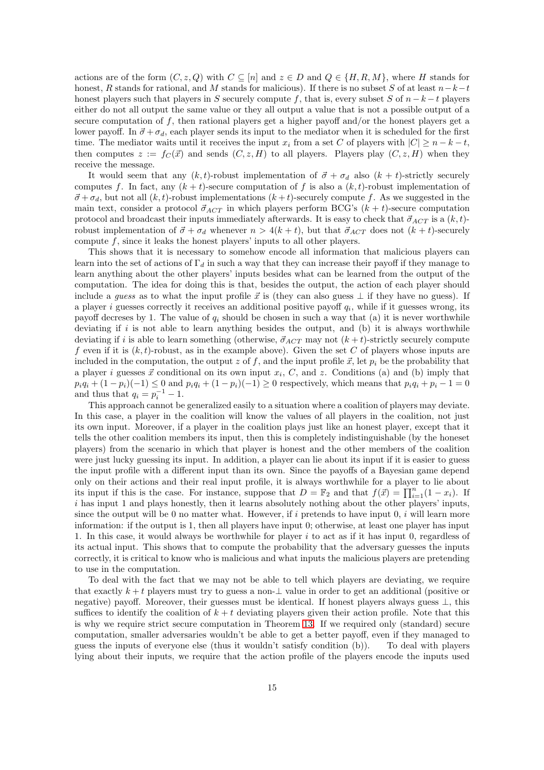actions are of the form  $(C, z, Q)$  with  $C \subseteq [n]$  and  $z \in D$  and  $Q \in \{H, R, M\}$ , where H stands for honest, R stands for rational, and M stands for malicious). If there is no subset S of at least  $n-k-t$ honest players such that players in S securely compute f, that is, every subset S of  $n - k - t$  players either do not all output the same value or they all output a value that is not a possible output of a secure computation of  $f$ , then rational players get a higher payoff and/or the honest players get a lower payoff. In  $\vec{\sigma} + \sigma_d$ , each player sends its input to the mediator when it is scheduled for the first time. The mediator waits until it receives the input  $x_i$  from a set C of players with  $|C| \ge n - k - t$ , then computes  $z := f_C(\vec{x})$  and sends  $(C, z, H)$  to all players. Players play  $(C, z, H)$  when they receive the message.

It would seem that any  $(k, t)$ -robust implementation of  $\vec{\sigma} + \sigma_d$  also  $(k + t)$ -strictly securely computes f. In fact, any  $(k + t)$ -secure computation of f is also a  $(k, t)$ -robust implementation of  $\vec{\sigma} + \sigma_d$ , but not all  $(k, t)$ -robust implementations  $(k + t)$ -securely compute f. As we suggested in the main text, consider a protocol  $\vec{\sigma}_{ACT}$  in which players perform BCG's  $(k + t)$ -secure computation protocol and broadcast their inputs immediately afterwards. It is easy to check that  $\vec{\sigma}_{ACT}$  is a  $(k, t)$ robust implementation of  $\vec{\sigma} + \sigma_d$  whenever  $n > 4(k + t)$ , but that  $\vec{\sigma}_{ACT}$  does not  $(k + t)$ -securely compute  $f$ , since it leaks the honest players' inputs to all other players.

This shows that it is necessary to somehow encode all information that malicious players can learn into the set of actions of  $\Gamma_d$  in such a way that they can increase their payoff if they manage to learn anything about the other players' inputs besides what can be learned from the output of the computation. The idea for doing this is that, besides the output, the action of each player should include a *quess* as to what the input profile  $\vec{x}$  is (they can also guess  $\perp$  if they have no guess). If a player i guesses correctly it receives an additional positive payoff  $q_i$ , while if it guesses wrong, its payoff decresses by 1. The value of  $q_i$  should be chosen in such a way that (a) it is never worthwhile deviating if  $i$  is not able to learn anything besides the output, and (b) it is always worthwhile deviating if i is able to learn something (otherwise,  $\vec{\sigma}_{ACT}$  may not  $(k + t)$ -strictly securely compute f even if it is  $(k, t)$ -robust, as in the example above). Given the set C of players whose inputs are included in the computation, the output z of f, and the input profile  $\vec{x}$ , let  $p_i$  be the probability that a player i guesses  $\vec{x}$  conditional on its own input  $x_i$ , C, and z. Conditions (a) and (b) imply that  $p_iq_i + (1 - p_i)(-1) \leq 0$  and  $p_iq_i + (1 - p_i)(-1) \geq 0$  respectively, which means that  $p_iq_i + p_i - 1 = 0$ and thus that  $q_i = p_i^{-1} - 1$ .

This approach cannot be generalized easily to a situation where a coalition of players may deviate. In this case, a player in the coalition will know the values of all players in the coalition, not just its own input. Moreover, if a player in the coalition plays just like an honest player, except that it tells the other coalition members its input, then this is completely indistinguishable (by the honeset players) from the scenario in which that player is honest and the other members of the coalition were just lucky guessing its input. In addition, a player can lie about its input if it is easier to guess the input profile with a different input than its own. Since the payoffs of a Bayesian game depend only on their actions and their real input profile, it is always worthwhile for a player to lie about its input if this is the case. For instance, suppose that  $D = \mathbb{F}_2$  and that  $f(\vec{x}) = \prod_{i=1}^n (1 - x_i)$ . If i has input 1 and plays honestly, then it learns absolutely nothing about the other players' inputs, since the output will be 0 no matter what. However, if  $i$  pretends to have input  $0, i$  will learn more information: if the output is 1, then all players have input 0; otherwise, at least one player has input 1. In this case, it would always be worthwhile for player i to act as if it has input 0, regardless of its actual input. This shows that to compute the probability that the adversary guesses the inputs correctly, it is critical to know who is malicious and what inputs the malicious players are pretending to use in the computation.

To deal with the fact that we may not be able to tell which players are deviating, we require that exactly  $k + t$  players must try to guess a non- $\perp$  value in order to get an additional (positive or negative) payoff. Moreover, their guesses must be identical. If honest players always guess ⊥, this suffices to identify the coalition of  $k + t$  deviating players given their action profile. Note that this is why we require strict secure computation in Theorem [13.](#page-9-1) If we required only (standard) secure computation, smaller adversaries wouldn't be able to get a better payoff, even if they managed to guess the inputs of everyone else (thus it wouldn't satisfy condition (b)). To deal with players lying about their inputs, we require that the action profile of the players encode the inputs used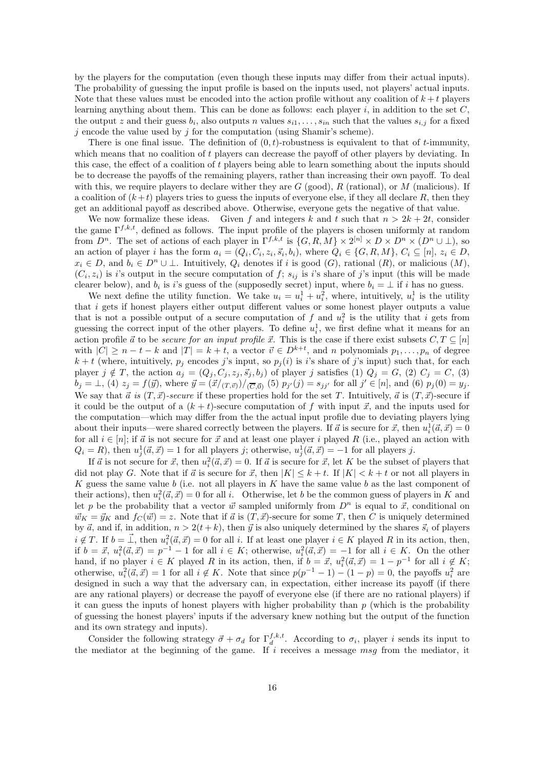by the players for the computation (even though these inputs may differ from their actual inputs). The probability of guessing the input profile is based on the inputs used, not players' actual inputs. Note that these values must be encoded into the action profile without any coalition of  $k + t$  players learning anything about them. This can be done as follows: each player  $i$ , in addition to the set  $C$ , the output z and their guess  $b_i$ , also outputs n values  $s_{i1}, \ldots, s_{in}$  such that the values  $s_{i,j}$  for a fixed  $j$  encode the value used by  $j$  for the computation (using Shamir's scheme).

There is one final issue. The definition of  $(0, t)$ -robustness is equivalent to that of t-immunity, which means that no coalition of t players can decrease the payoff of other players by deviating. In this case, the effect of a coalition of t players being able to learn something about the inputs should be to decrease the payoffs of the remaining players, rather than increasing their own payoff. To deal with this, we require players to declare wither they are  $G$  (good),  $R$  (rational), or  $M$  (malicious). If a coalition of  $(k+t)$  players tries to guess the inputs of everyone else, if they all declare R, then they get an additional payoff as described above. Otherwise, everyone gets the negative of that value.

We now formalize these ideas. Given f and integers k and t such that  $n > 2k + 2t$ , consider the game  $\Gamma^{f,k,t}$ , defined as follows. The input profile of the players is chosen uniformly at random from  $D^n$ . The set of actions of each player in  $\Gamma^{f,k,t}$  is  $\{G, R, M\} \times 2^{[n]} \times D \times D^n \times (D^n \cup \bot)$ , so an action of player i has the form  $a_i = (Q_i, C_i, z_i, \vec{s}_i, b_i)$ , where  $Q_i \in \{G, R, M\}$ ,  $C_i \subseteq [n]$ ,  $z_i \in D$ ,  $x_i \in D$ , and  $b_i \in D^n \cup \bot$ . Intuitively,  $Q_i$  denotes if i is good  $(G)$ , rational  $(R)$ , or malicious  $(M)$ ,  $(C_i, z_i)$  is i's output in the secure computation of f;  $s_{ij}$  is i's share of j's input (this will be made clearer below), and  $b_i$  is i's guess of the (supposedly secret) input, where  $b_i = \perp$  if i has no guess.

We next define the utility function. We take  $u_i = u_i^1 + u_i^2$ , where, intuitively,  $u_i^1$  is the utility that i gets if honest players either output different values or some honest player outputs a value that is not a possible output of a secure computation of  $f$  and  $u_i^2$  is the utility that i gets from guessing the correct input of the other players. To define  $u_i^1$ , we first define what it means for an action profile  $\vec{a}$  to be secure for an input profile  $\vec{x}$ . This is the case if there exist subsets  $C, T \subseteq [n]$ with  $|C| \ge n - t - k$  and  $|T| = k + t$ , a vector  $\vec{v} \in D^{k+t}$ , and n polynomials  $p_1, \ldots, p_n$  of degree  $k + t$  (where, intuitively,  $p_j$  encodes j's input, so  $p_j(i)$  is i's share of j's input) such that, for each player  $j \notin T$ , the action  $a_j = (Q_j, C_j, z_j, \vec{s}_j, b_j)$  of player j satisfies (1)  $Q_j = G$ , (2)  $C_j = C$ , (3)  $b_j = \perp$ , (4)  $z_j = f(\vec{y})$ , where  $\vec{y} = (\vec{x}/(T,\vec{v}))/(\vec{C},\vec{0})$  (5)  $p_{j'}(j) = s_{jj'}$  for all  $j' \in [n]$ , and (6)  $p_j(0) = y_j$ . We say that  $\vec{a}$  is  $(T, \vec{x})$ -secure if these properties hold for the set T. Intuitively,  $\vec{a}$  is  $(T, \vec{x})$ -secure if it could be the output of a  $(k + t)$ -secure computation of f with input  $\vec{x}$ , and the inputs used for the computation—which may differ from the the actual input profile due to deviating players lying about their inputs—were shared correctly between the players. If  $\vec{a}$  is secure for  $\vec{x}$ , then  $u_i^1(\vec{a}, \vec{x}) = 0$ for all  $i \in [n]$ ; if  $\vec{a}$  is not secure for  $\vec{x}$  and at least one player i played R (i.e., played an action with  $Q_i = R$ , then  $u_j^1(\vec{a}, \vec{x}) = 1$  for all players j; otherwise,  $u_j^1(\vec{a}, \vec{x}) = -1$  for all players j.

If  $\vec{a}$  is not secure for  $\vec{x}$ , then  $u_i^2(\vec{a}, \vec{x}) = 0$ . If  $\vec{a}$  is secure for  $\vec{x}$ , let K be the subset of players that did not play G. Note that if  $\vec{a}$  is secure for  $\vec{x}$ , then  $|K| \leq k + t$ . If  $|K| < k + t$  or not all players in K guess the same value b (i.e. not all players in K have the same value b as the last component of their actions), then  $u_i^2(\vec{a}, \vec{x}) = 0$  for all i. Otherwise, let b be the common guess of players in K and let p be the probability that a vector  $\vec{w}$  sampled uniformly from  $D^n$  is equal to  $\vec{x}$ , conditional on  $\vec{w}_K = \vec{y}_K$  and  $f_C(\vec{w}) = z$ . Note that if  $\vec{a}$  is  $(T, \vec{x})$ -secure for some T, then C is uniquely determined by  $\vec{a}$ , and if, in addition,  $n > 2(t + k)$ , then  $\vec{y}$  is also uniquely determined by the shares  $\vec{s}_i$  of players  $i \notin T$ . If  $b = \vec{\perp}$ , then  $u_i^2(\vec{a}, \vec{x}) = 0$  for all i. If at least one player  $i \in K$  played R in its action, then, if  $b = \vec{x}, u_i^2(\vec{a}, \vec{x}) = p^{-1} - 1$  for all  $i \in K$ ; otherwise,  $u_i^2(\vec{a}, \vec{x}) = -1$  for all  $i \in K$ . On the other hand, if no player  $i \in K$  played R in its action, then, if  $b = \vec{x}, u_i^2(\vec{a}, \vec{x}) = 1 - p^{-1}$  for all  $i \notin K$ ; otherwise,  $u_i^2(\vec{a}, \vec{x}) = 1$  for all  $i \notin K$ . Note that since  $p(p^{-1} - 1) - (1 - p) = 0$ , the payoffs  $u_i^2$  are designed in such a way that the adversary can, in expectation, either increase its payoff (if there are any rational players) or decrease the payoff of everyone else (if there are no rational players) if it can guess the inputs of honest players with higher probability than  $p$  (which is the probability of guessing the honest players' inputs if the adversary knew nothing but the output of the function and its own strategy and inputs).

Consider the following strategy  $\vec{\sigma} + \sigma_d$  for  $\Gamma_d^{f,k,t}$ . According to  $\sigma_i$ , player i sends its input to the mediator at the beginning of the game. If i receives a message msg from the mediator, it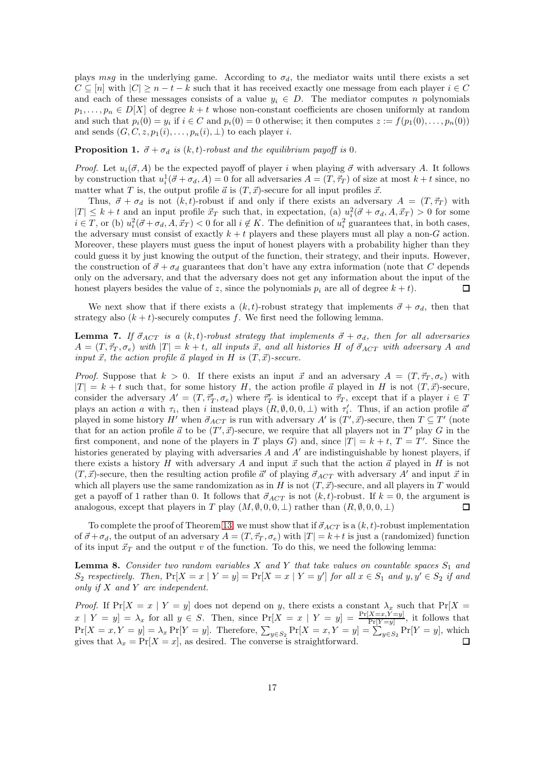plays msg in the underlying game. According to  $\sigma_d$ , the mediator waits until there exists a set  $C \subseteq [n]$  with  $|C| \geq n-t-k$  such that it has received exactly one message from each player  $i \in C$ and each of these messages consists of a value  $y_i \in D$ . The mediator computes n polynomials  $p_1, \ldots, p_n \in D[X]$  of degree  $k + t$  whose non-constant coefficients are chosen uniformly at random and such that  $p_i(0) = y_i$  if  $i \in C$  and  $p_i(0) = 0$  otherwise; it then computes  $z := f(p_1(0), \ldots, p_n(0))$ and sends  $(G, C, z, p_1(i), \ldots, p_n(i), \perp)$  to each player *i*.

<span id="page-16-1"></span>**Proposition 1.**  $\vec{\sigma} + \sigma_d$  is  $(k, t)$ -robust and the equilibrium payoff is 0.

*Proof.* Let  $u_i(\vec{\sigma}, A)$  be the expected payoff of player i when playing  $\vec{\sigma}$  with adversary A. It follows by construction that  $u_i^1(\vec{\sigma} + \sigma_d, A) = 0$  for all adversaries  $A = (T, \vec{\tau}_T)$  of size at most  $k + t$  since, no matter what T is, the output profile  $\vec{a}$  is  $(T, \vec{x})$ -secure for all input profiles  $\vec{x}$ .

Thus,  $\vec{\sigma} + \sigma_d$  is not  $(k, t)$ -robust if and only if there exists an adversary  $A = (T, \vec{\tau}_T)$  with  $|T| \leq k+t$  and an input profile  $\vec{x}_T$  such that, in expectation, (a)  $u_i^2(\vec{\sigma} + \sigma_d, A, \vec{x}_T) > 0$  for some  $i \in T$ , or (b)  $u_i^2(\vec{\sigma} + \sigma_d, A, \vec{x}_T) < 0$  for all  $i \notin K$ . The definition of  $u_i^2$  guarantees that, in both cases, the adversary must consist of exactly  $k + t$  players and these players must all play a non-G action. Moreover, these players must guess the input of honest players with a probability higher than they could guess it by just knowing the output of the function, their strategy, and their inputs. However, the construction of  $\vec{\sigma} + \sigma_d$  guarantees that don't have any extra information (note that C depends only on the adversary, and that the adversary does not get any information about the input of the honest players besides the value of z, since the polynomials  $p_i$  are all of degree  $k + t$ .  $\Box$ 

We next show that if there exists a  $(k, t)$ -robust strategy that implements  $\vec{\sigma} + \sigma_d$ , then that strategy also  $(k + t)$ -securely computes f. We first need the following lemma.

**Lemma 7.** If  $\vec{\sigma}_{ACT}$  is a  $(k, t)$ -robust strategy that implements  $\vec{\sigma} + \sigma_d$ , then for all adversaries  $A = (T, \vec{\tau}_T, \sigma_e)$  with  $|T| = k + t$ , all inputs  $\vec{x}$ , and all histories H of  $\vec{\sigma}_{ACT}$  with adversary A and input  $\vec{x}$ , the action profile  $\vec{a}$  played in H is  $(T, \vec{x})$ -secure.

*Proof.* Suppose that  $k > 0$ . If there exists an input  $\vec{x}$  and an adversary  $A = (T, \vec{\tau}_T, \sigma_e)$  with  $|T| = k + t$  such that, for some history H, the action profile  $\vec{a}$  played in H is not  $(T, \vec{x})$ -secure, consider the adversary  $A' = (T, \vec{\tau}'_T, \sigma_e)$  where  $\vec{\tau}'_T$  is identical to  $\vec{\tau}_T$ , except that if a player  $i \in T$ plays an action a with  $\tau_i$ , then i instead plays  $(R, \emptyset, 0, 0, \perp)$  with  $\tau'_i$ . Thus, if an action profile  $\vec{a}'$ played in some history H' when  $\vec{\sigma}_{ACT}$  is run with adversary A' is  $(T', \vec{x})$ -secure, then  $T \subseteq T'$  (note that for an action profile  $\vec{a}$  to be  $(T', \vec{x})$ -secure, we require that all players not in  $T'$  play G in the first component, and none of the players in T plays G) and, since  $|T| = k + t$ ,  $T = T'$ . Since the histories generated by playing with adversaries A and A' are indistinguishable by honest players, if there exists a history H with adversary A and input  $\vec{x}$  such that the action  $\vec{a}$  played in H is not  $(T, \vec{x})$ -secure, then the resulting action profile  $\vec{a}'$  of playing  $\vec{\sigma}_{ACT}$  with adversary A' and input  $\vec{x}$  in which all players use the same randomization as in H is not  $(T, \vec{x})$ -secure, and all players in T would get a payoff of 1 rather than 0. It follows that  $\vec{\sigma}_{ACT}$  is not  $(k, t)$ -robust. If  $k = 0$ , the argument is analogous, except that players in T play  $(M, \emptyset, 0, 0, \perp)$  rather than  $(R, \emptyset, 0, 0, \perp)$  $\Box$ 

To complete the proof of Theorem [13,](#page-9-1) we must show that if  $\vec{\sigma}_{ACT}$  is a  $(k, t)$ -robust implementation of  $\vec{\sigma} + \sigma_d$ , the output of an adversary  $A = (T, \vec{\tau}_T, \sigma_e)$  with  $|T| = k+t$  is just a (randomized) function of its input  $\vec{x}_T$  and the output v of the function. To do this, we need the following lemma:

<span id="page-16-0"></span>**Lemma 8.** Consider two random variables X and Y that take values on countable spaces  $S_1$  and  $S_2$  respectively. Then,  $Pr[X = x | Y = y] = Pr[X = x | Y = y']$  for all  $x \in S_1$  and  $y, y' \in S_2$  if and only if X and Y are independent.

*Proof.* If  $Pr[X = x | Y = y]$  does not depend on y, there exists a constant  $\lambda_x$  such that  $Pr[X = x | Y = y]$  $x \mid Y = y$  =  $\lambda_x$  for all  $y \in S$ . Then, since  $\Pr[X = x \mid Y = y] = \frac{\Pr[X = x, Y = y]}{\Pr[Y = y]}$ , it follows that  $Pr[X = x, Y = y] = \lambda_x Pr[Y = y]$ . Therefore,  $\sum_{y \in S_2} Pr[X = x, Y = y] = \sum_{y \in S_2} Pr[Y = y]$ , which gives that  $\lambda_x = \Pr[X = x]$ , as desired. The converse is straightforward.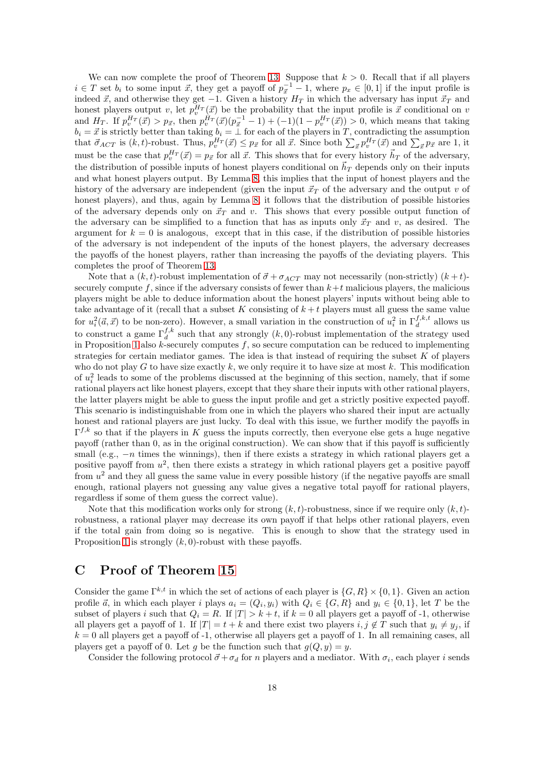We can now complete the proof of Theorem [13.](#page-9-1) Suppose that  $k > 0$ . Recall that if all players  $i \in T$  set  $b_i$  to some input  $\vec{x}$ , they get a payoff of  $p_{\vec{x}}^{-1} - 1$ , where  $p_x \in [0,1]$  if the input profile is indeed  $\vec{x}$ , and otherwise they get -1. Given a history  $H_T$  in which the adversary has input  $\vec{x}_T$  and honest players output v, let  $p_v^{H_T}(\vec{x})$  be the probability that the input profile is  $\vec{x}$  conditional on v and  $H_T$ . If  $p_v^{H_T}(\vec{x}) > p_{\vec{x}}$ , then  $p_v^{H_T}(\vec{x}) (p_{\vec{x}}^{-1} - 1) + (-1)(1 - p_v^{H_T}(\vec{x})) > 0$ , which means that taking  $b_i = \vec{x}$  is strictly better than taking  $b_i = \perp$  for each of the players in T, contradicting the assumption that  $\vec{\sigma}_{ACT}$  is  $(k, t)$ -robust. Thus,  $p_v^{H_T}(\vec{x}) \leq p_{\vec{x}}$  for all  $\vec{x}$ . Since both  $\sum_{\vec{x}} p_v^{H_T}(\vec{x})$  and  $\sum_{\vec{x}} p_{\vec{x}}$  are 1, it must be the case that  $p_v^{H_T}(\vec{x}) = p_{\vec{x}}$  for all  $\vec{x}$ . This shows that for every history  $\vec{h}_T$  of the adversary, the distribution of possible inputs of honest players conditional on  $\vec{h}_T$  depends only on their inputs and what honest players output. By Lemma [8,](#page-16-0) this implies that the input of honest players and the history of the adversary are independent (given the input  $\vec{x}_T$  of the adversary and the output v of honest players), and thus, again by Lemma [8,](#page-16-0) it follows that the distribution of possible histories of the adversary depends only on  $\vec{x}_T$  and v. This shows that every possible output function of the adversary can be simplified to a function that has as inputs only  $\vec{x}_T$  and v, as desired. The argument for  $k = 0$  is analogous, except that in this case, if the distribution of possible histories of the adversary is not independent of the inputs of the honest players, the adversary decreases the payoffs of the honest players, rather than increasing the payoffs of the deviating players. This completes the proof of Theorem [13.](#page-9-1)

Note that a  $(k, t)$ -robust implementation of  $\vec{\sigma} + \sigma_{ACT}$  may not necessarily (non-strictly)  $(k + t)$ securely compute f, since if the adversary consists of fewer than  $k+t$  malicious players, the malicious players might be able to deduce information about the honest players' inputs without being able to take advantage of it (recall that a subset K consisting of  $k + t$  players must all guess the same value for  $u_i^2(\vec{a}, \vec{x})$  to be non-zero). However, a small variation in the construction of  $u_i^2$  in  $\Gamma_d^{f,k,t}$  allows us to construct a game  $\Gamma_d^{f,k}$  such that any strongly  $(k,0)$ -robust implementation of the strategy used in Proposition [1](#page-16-1) also  $k$ -securely computes f, so secure computation can be reduced to implementing strategies for certain mediator games. The idea is that instead of requiring the subset  $K$  of players who do not play G to have size exactly k, we only require it to have size at most k. This modification of  $u_i^2$  leads to some of the problems discussed at the beginning of this section, namely, that if some rational players act like honest players, except that they share their inputs with other rational players, the latter players might be able to guess the input profile and get a strictly positive expected payoff. This scenario is indistinguishable from one in which the players who shared their input are actually honest and rational players are just lucky. To deal with this issue, we further modify the payoffs in  $\Gamma^{f,k}$  so that if the players in K guess the inputs correctly, then everyone else gets a huge negative payoff (rather than 0, as in the original construction). We can show that if this payoff is sufficiently small (e.g.,  $-n$  times the winnings), then if there exists a strategy in which rational players get a positive payoff from  $u^2$ , then there exists a strategy in which rational players get a positive payoff from  $u^2$  and they all guess the same value in every possible history (if the negative payoffs are small enough, rational players not guessing any value gives a negative total payoff for rational players, regardless if some of them guess the correct value).

Note that this modification works only for strong  $(k, t)$ -robustness, since if we require only  $(k, t)$ robustness, a rational player may decrease its own payoff if that helps other rational players, even if the total gain from doing so is negative. This is enough to show that the strategy used in Proposition [1](#page-16-1) is strongly  $(k, 0)$ -robust with these payoffs.

# <span id="page-17-0"></span>C Proof of Theorem [15](#page-10-1)

Consider the game  $\Gamma^{k,t}$  in which the set of actions of each player is  $\{G, R\} \times \{0, 1\}$ . Given an action profile  $\vec{a}$ , in which each player i plays  $a_i = (Q_i, y_i)$  with  $Q_i \in \{G, R\}$  and  $y_i \in \{0, 1\}$ , let T be the subset of players i such that  $Q_i = R$ . If  $|T| > k + t$ , if  $k = 0$  all players get a payoff of -1, otherwise all players get a payoff of 1. If  $|T| = t + k$  and there exist two players  $i, j \notin T$  such that  $y_i \neq y_j$ , if  $k = 0$  all players get a payoff of -1, otherwise all players get a payoff of 1. In all remaining cases, all players get a payoff of 0. Let q be the function such that  $q(Q, y) = y$ .

Consider the following protocol  $\vec{\sigma} + \sigma_d$  for n players and a mediator. With  $\sigma_i$ , each player i sends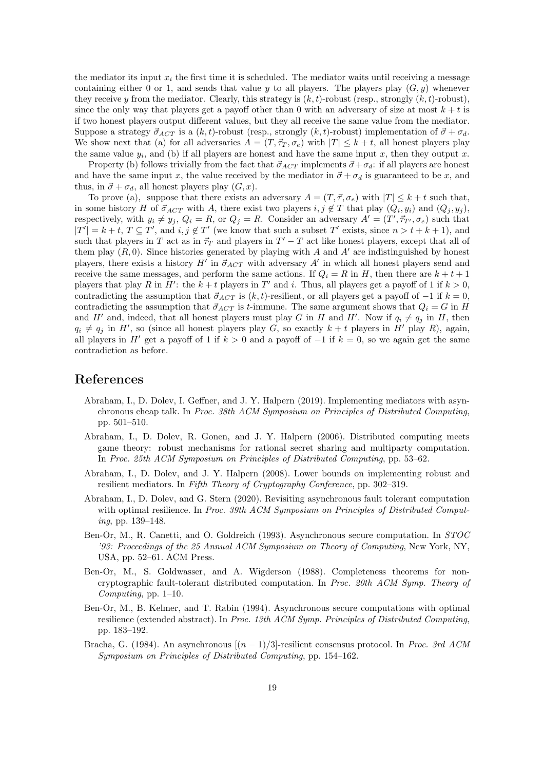the mediator its input  $x_i$  the first time it is scheduled. The mediator waits until receiving a message containing either 0 or 1, and sends that value y to all players. The players play  $(G, y)$  whenever they receive y from the mediator. Clearly, this strategy is  $(k, t)$ -robust (resp., strongly  $(k, t)$ -robust), since the only way that players get a payoff other than 0 with an adversary of size at most  $k + t$  is if two honest players output different values, but they all receive the same value from the mediator. Suppose a strategy  $\vec{\sigma}_{ACT}$  is a  $(k, t)$ -robust (resp., strongly  $(k, t)$ -robust) implementation of  $\vec{\sigma} + \sigma_d$ . We show next that (a) for all adversaries  $A = (T, \vec{\tau}_T, \sigma_e)$  with  $|T| \leq k + t$ , all honest players play the same value  $y_i$ , and (b) if all players are honest and have the same input x, then they output x.

Property (b) follows trivially from the fact that  $\vec{\sigma}_{ACT}$  implements  $\vec{\sigma} + \sigma_d$ : if all players are honest and have the same input x, the value received by the mediator in  $\vec{\sigma} + \sigma_d$  is guaranteed to be x, and thus, in  $\vec{\sigma} + \sigma_d$ , all honest players play  $(G, x)$ .

To prove (a), suppose that there exists an adversary  $A = (T, \vec{\tau}, \sigma_e)$  with  $|T| \leq k + t$  such that, in some history H of  $\vec{\sigma}_{ACT}$  with A, there exist two players  $i, j \notin T$  that play  $(Q_i, y_i)$  and  $(Q_j, y_j)$ , respectively, with  $y_i \neq y_j$ ,  $Q_i = R$ , or  $Q_j = R$ . Consider an adversary  $A' = (T', \vec{\tau}_{T'}, \sigma_e)$  such that  $|T'| = k + t$ ,  $T \subseteq T'$ , and  $i, j \notin T'$  (we know that such a subset T' exists, since  $n > t + k + 1$ ), and such that players in T act as in  $\vec{\tau}_T$  and players in  $T'-T$  act like honest players, except that all of them play  $(R, 0)$ . Since histories generated by playing with A and A' are indistinguished by honest players, there exists a history  $H'$  in  $\vec{\sigma}_{ACT}$  with adversary  $A'$  in which all honest players send and receive the same messages, and perform the same actions. If  $Q_i = R$  in H, then there are  $k + t + 1$ players that play R in H': the  $k + t$  players in T' and i. Thus, all players get a payoff of 1 if  $k > 0$ , contradicting the assumption that  $\vec{\sigma}_{ACT}$  is  $(k, t)$ -resilient, or all players get a payoff of −1 if  $k = 0$ , contradicting the assumption that  $\vec{\sigma}_{ACT}$  is t-immune. The same argument shows that  $Q_i = G$  in H and H' and, indeed, that all honest players must play G in H and H'. Now if  $q_i \neq q_j$  in H, then  $q_i \neq q_j$  in H', so (since all honest players play G, so exactly  $k + t$  players in H' play R), again, all players in H' get a payoff of 1 if  $k > 0$  and a payoff of  $-1$  if  $k = 0$ , so we again get the same contradiction as before.

## References

- <span id="page-18-0"></span>Abraham, I., D. Dolev, I. Geffner, and J. Y. Halpern (2019). Implementing mediators with asynchronous cheap talk. In Proc. 38th ACM Symposium on Principles of Distributed Computing, pp. 501–510.
- <span id="page-18-5"></span>Abraham, I., D. Dolev, R. Gonen, and J. Y. Halpern (2006). Distributed computing meets game theory: robust mechanisms for rational secret sharing and multiparty computation. In Proc. 25th ACM Symposium on Principles of Distributed Computing, pp. 53–62.
- <span id="page-18-6"></span>Abraham, I., D. Dolev, and J. Y. Halpern (2008). Lower bounds on implementing robust and resilient mediators. In Fifth Theory of Cryptography Conference, pp. 302–319.
- <span id="page-18-2"></span>Abraham, I., D. Dolev, and G. Stern (2020). Revisiting asynchronous fault tolerant computation with optimal resilience. In Proc. 39th ACM Symposium on Principles of Distributed Computing, pp. 139–148.
- <span id="page-18-1"></span>Ben-Or, M., R. Canetti, and O. Goldreich (1993). Asynchronous secure computation. In STOC '93: Proceedings of the 25 Annual ACM Symposium on Theory of Computing, New York, NY, USA, pp. 52–61. ACM Press.
- <span id="page-18-4"></span>Ben-Or, M., S. Goldwasser, and A. Wigderson (1988). Completeness theorems for noncryptographic fault-tolerant distributed computation. In Proc. 20th ACM Symp. Theory of Computing, pp. 1–10.
- <span id="page-18-3"></span>Ben-Or, M., B. Kelmer, and T. Rabin (1994). Asynchronous secure computations with optimal resilience (extended abstract). In Proc. 13th ACM Symp. Principles of Distributed Computing, pp. 183–192.
- <span id="page-18-7"></span>Bracha, G. (1984). An asynchronous  $[(n-1)/3]$ -resilient consensus protocol. In Proc. 3rd ACM Symposium on Principles of Distributed Computing, pp. 154–162.